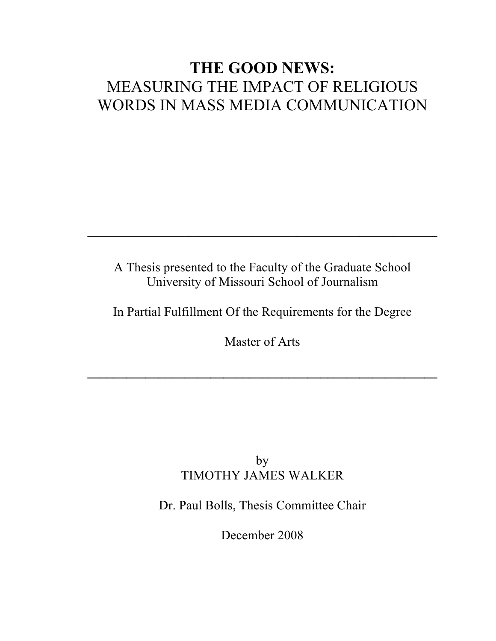# **THE GOOD NEWS:** MEASURING THE IMPACT OF RELIGIOUS WORDS IN MASS MEDIA COMMUNICATION

A Thesis presented to the Faculty of the Graduate School University of Missouri School of Journalism

 $\mathcal{L}_\mathcal{L} = \mathcal{L}_\mathcal{L} - \mathcal{L}_\mathcal{L}$ 

In Partial Fulfillment Of the Requirements for the Degree

Master of Arts

**\_\_\_\_\_\_\_\_\_\_\_\_\_\_\_\_\_\_\_\_\_\_\_\_\_\_\_\_\_\_\_\_\_\_\_\_\_\_\_\_\_\_\_\_\_\_\_\_\_\_\_\_\_\_**

### by TIMOTHY JAMES WALKER

Dr. Paul Bolls, Thesis Committee Chair

December 2008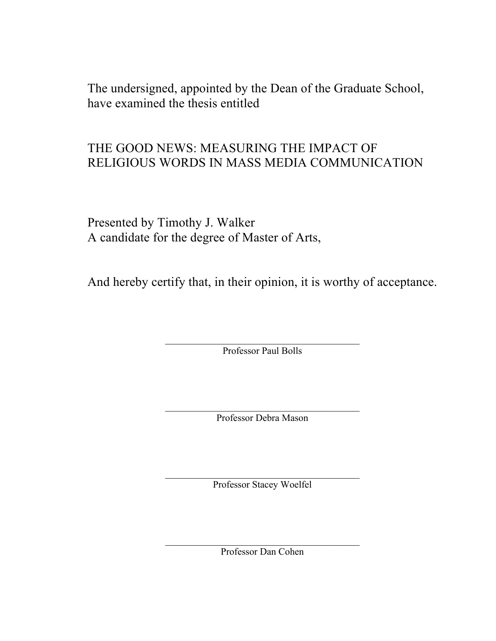The undersigned, appointed by the Dean of the Graduate School, have examined the thesis entitled

## THE GOOD NEWS: MEASURING THE IMPACT OF RELIGIOUS WORDS IN MASS MEDIA COMMUNICATION

Presented by Timothy J. Walker A candidate for the degree of Master of Arts,

And hereby certify that, in their opinion, it is worthy of acceptance.

 $\mathcal{L}_\text{max}$  , and the contract of the contract of the contract of the contract of the contract of the contract of the contract of the contract of the contract of the contract of the contract of the contract of the contr Professor Paul Bolls

 $\mathcal{L}_\text{max}$  , and the contract of the contract of the contract of the contract of the contract of the contract of the contract of the contract of the contract of the contract of the contract of the contract of the contr Professor Debra Mason

 $\mathcal{L}_\text{max}$ Professor Stacey Woelfel

 $\mathcal{L}_\text{max}$  , and the contract of the contract of the contract of the contract of the contract of the contract of the contract of the contract of the contract of the contract of the contract of the contract of the contr Professor Dan Cohen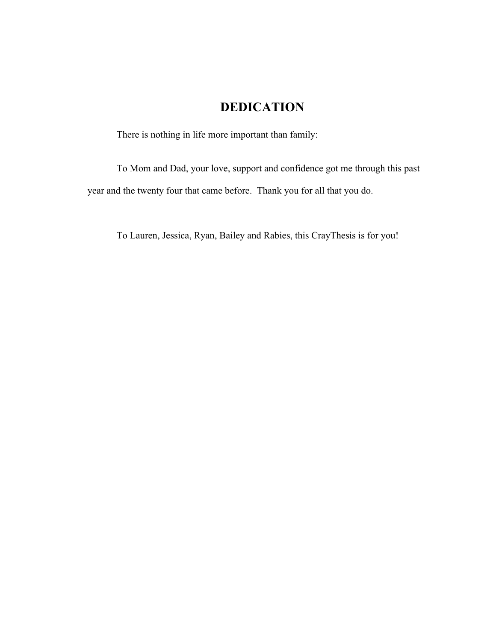### **DEDICATION**

There is nothing in life more important than family:

To Mom and Dad, your love, support and confidence got me through this past year and the twenty four that came before. Thank you for all that you do.

To Lauren, Jessica, Ryan, Bailey and Rabies, this CrayThesis is for you!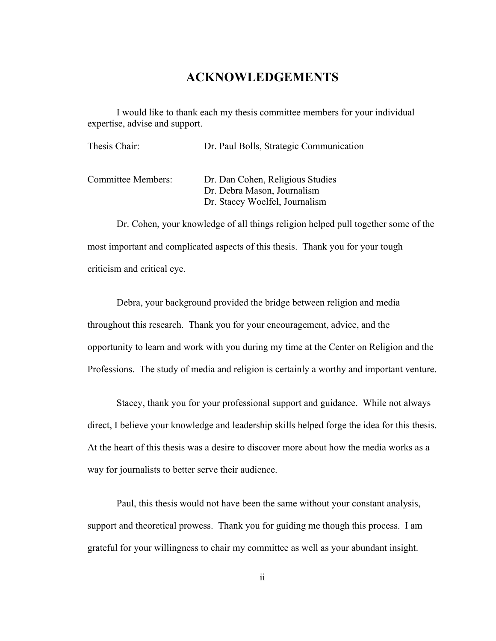### **ACKNOWLEDGEMENTS**

I would like to thank each my thesis committee members for your individual expertise, advise and support.

| Thesis Chair:      | Dr. Paul Bolls, Strategic Communication                                                           |
|--------------------|---------------------------------------------------------------------------------------------------|
| Committee Members: | Dr. Dan Cohen, Religious Studies<br>Dr. Debra Mason, Journalism<br>Dr. Stacey Woelfel, Journalism |

Dr. Cohen, your knowledge of all things religion helped pull together some of the most important and complicated aspects of this thesis. Thank you for your tough criticism and critical eye.

Debra, your background provided the bridge between religion and media throughout this research. Thank you for your encouragement, advice, and the opportunity to learn and work with you during my time at the Center on Religion and the Professions. The study of media and religion is certainly a worthy and important venture.

Stacey, thank you for your professional support and guidance. While not always direct, I believe your knowledge and leadership skills helped forge the idea for this thesis. At the heart of this thesis was a desire to discover more about how the media works as a way for journalists to better serve their audience.

Paul, this thesis would not have been the same without your constant analysis, support and theoretical prowess. Thank you for guiding me though this process. I am grateful for your willingness to chair my committee as well as your abundant insight.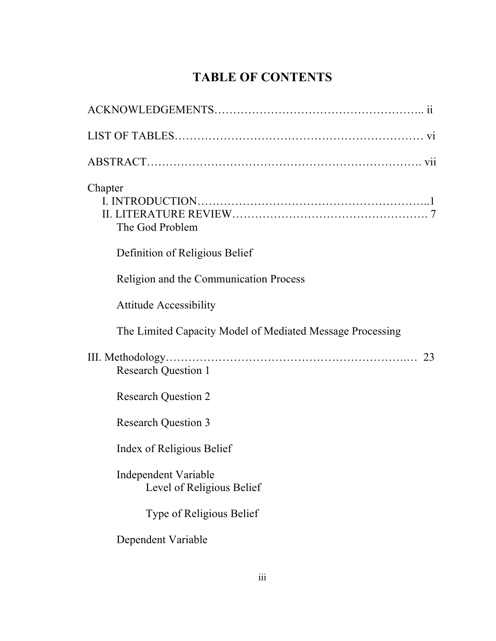## **TABLE OF CONTENTS**

| Chapter<br>The God Problem                                |
|-----------------------------------------------------------|
| Definition of Religious Belief                            |
| Religion and the Communication Process                    |
| <b>Attitude Accessibility</b>                             |
| The Limited Capacity Model of Mediated Message Processing |
| 23<br><b>Research Question 1</b>                          |
| <b>Research Question 2</b>                                |
| <b>Research Question 3</b>                                |
| Index of Religious Belief                                 |
| Independent Variable<br>Level of Religious Belief         |
| <b>Type of Religious Belief</b>                           |
| Dependent Variable                                        |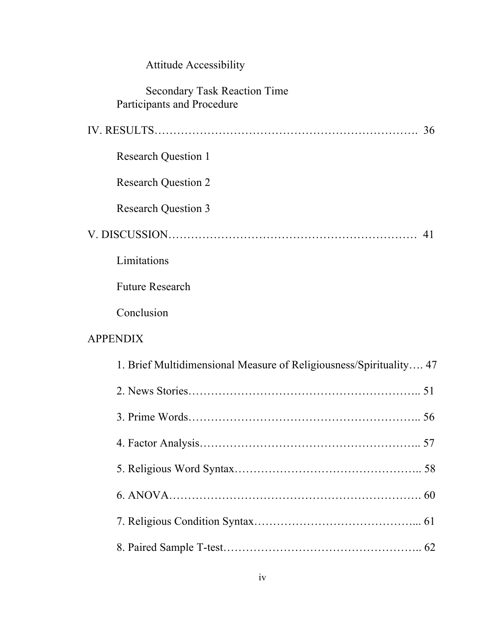| <b>Attitude Accessibility</b>                                      |  |
|--------------------------------------------------------------------|--|
| <b>Secondary Task Reaction Time</b><br>Participants and Procedure  |  |
| 36                                                                 |  |
| <b>Research Question 1</b>                                         |  |
| <b>Research Question 2</b>                                         |  |
| <b>Research Question 3</b>                                         |  |
| 41                                                                 |  |
| Limitations                                                        |  |
| <b>Future Research</b>                                             |  |
| Conclusion                                                         |  |
| <b>APPENDIX</b>                                                    |  |
| 1. Brief Multidimensional Measure of Religiousness/Spirituality 47 |  |
| 51                                                                 |  |
|                                                                    |  |
|                                                                    |  |
|                                                                    |  |
|                                                                    |  |
|                                                                    |  |
|                                                                    |  |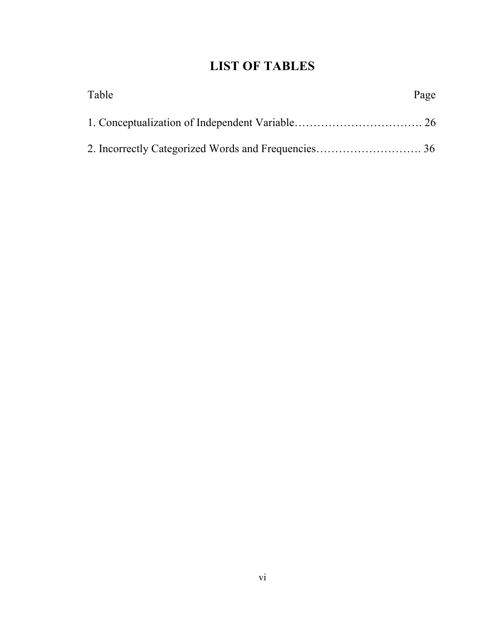## **LIST OF TABLES**

| Table | Page |
|-------|------|
|       |      |
|       |      |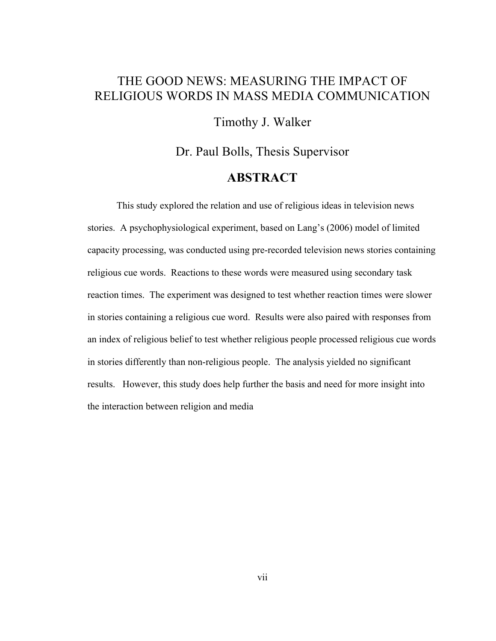### THE GOOD NEWS: MEASURING THE IMPACT OF RELIGIOUS WORDS IN MASS MEDIA COMMUNICATION

Timothy J. Walker

Dr. Paul Bolls, Thesis Supervisor **ABSTRACT**

This study explored the relation and use of religious ideas in television news stories. A psychophysiological experiment, based on Lang's (2006) model of limited capacity processing, was conducted using pre-recorded television news stories containing religious cue words. Reactions to these words were measured using secondary task reaction times. The experiment was designed to test whether reaction times were slower in stories containing a religious cue word. Results were also paired with responses from an index of religious belief to test whether religious people processed religious cue words in stories differently than non-religious people. The analysis yielded no significant results. However, this study does help further the basis and need for more insight into the interaction between religion and media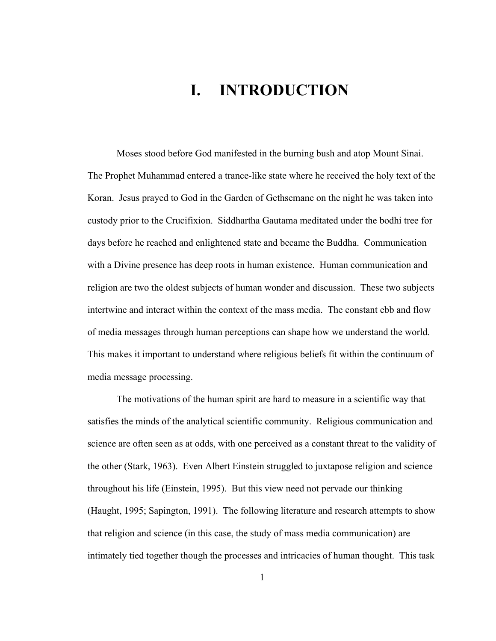# **I. INTRODUCTION**

Moses stood before God manifested in the burning bush and atop Mount Sinai. The Prophet Muhammad entered a trance-like state where he received the holy text of the Koran. Jesus prayed to God in the Garden of Gethsemane on the night he was taken into custody prior to the Crucifixion. Siddhartha Gautama meditated under the bodhi tree for days before he reached and enlightened state and became the Buddha. Communication with a Divine presence has deep roots in human existence. Human communication and religion are two the oldest subjects of human wonder and discussion. These two subjects intertwine and interact within the context of the mass media. The constant ebb and flow of media messages through human perceptions can shape how we understand the world. This makes it important to understand where religious beliefs fit within the continuum of media message processing.

The motivations of the human spirit are hard to measure in a scientific way that satisfies the minds of the analytical scientific community. Religious communication and science are often seen as at odds, with one perceived as a constant threat to the validity of the other (Stark, 1963). Even Albert Einstein struggled to juxtapose religion and science throughout his life (Einstein, 1995). But this view need not pervade our thinking (Haught, 1995; Sapington, 1991). The following literature and research attempts to show that religion and science (in this case, the study of mass media communication) are intimately tied together though the processes and intricacies of human thought. This task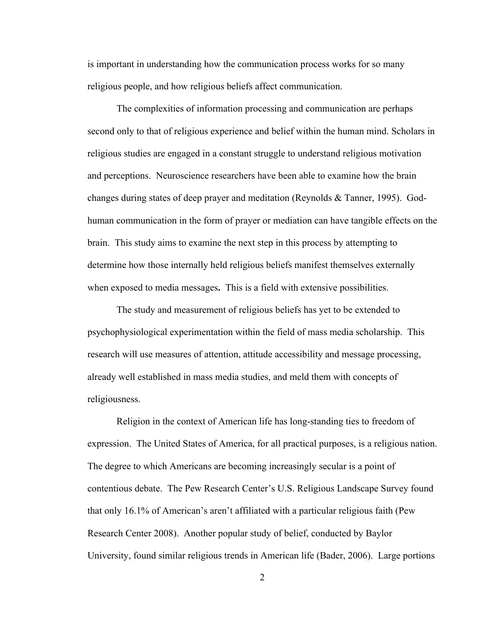is important in understanding how the communication process works for so many religious people, and how religious beliefs affect communication.

The complexities of information processing and communication are perhaps second only to that of religious experience and belief within the human mind. Scholars in religious studies are engaged in a constant struggle to understand religious motivation and perceptions. Neuroscience researchers have been able to examine how the brain changes during states of deep prayer and meditation (Reynolds & Tanner, 1995). Godhuman communication in the form of prayer or mediation can have tangible effects on the brain. This study aims to examine the next step in this process by attempting to determine how those internally held religious beliefs manifest themselves externally when exposed to media messages**.** This is a field with extensive possibilities.

The study and measurement of religious beliefs has yet to be extended to psychophysiological experimentation within the field of mass media scholarship. This research will use measures of attention, attitude accessibility and message processing, already well established in mass media studies, and meld them with concepts of religiousness.

Religion in the context of American life has long-standing ties to freedom of expression. The United States of America, for all practical purposes, is a religious nation. The degree to which Americans are becoming increasingly secular is a point of contentious debate. The Pew Research Center's U.S. Religious Landscape Survey found that only 16.1% of American's aren't affiliated with a particular religious faith (Pew Research Center 2008). Another popular study of belief, conducted by Baylor University, found similar religious trends in American life (Bader, 2006). Large portions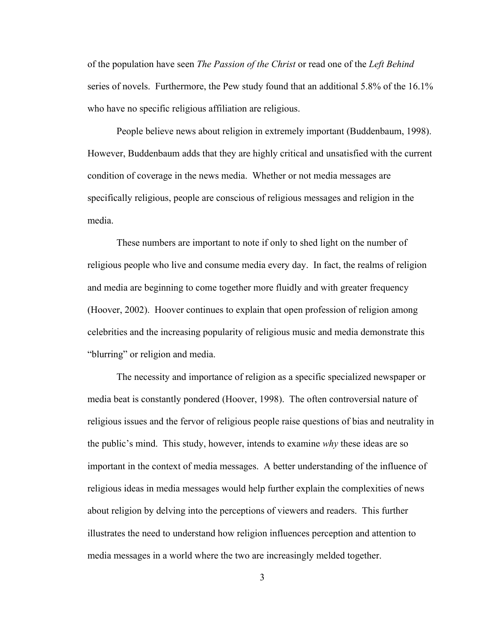of the population have seen *The Passion of the Christ* or read one of the *Left Behind* series of novels. Furthermore, the Pew study found that an additional 5.8% of the 16.1% who have no specific religious affiliation are religious.

People believe news about religion in extremely important (Buddenbaum, 1998). However, Buddenbaum adds that they are highly critical and unsatisfied with the current condition of coverage in the news media. Whether or not media messages are specifically religious, people are conscious of religious messages and religion in the media.

These numbers are important to note if only to shed light on the number of religious people who live and consume media every day. In fact, the realms of religion and media are beginning to come together more fluidly and with greater frequency (Hoover, 2002). Hoover continues to explain that open profession of religion among celebrities and the increasing popularity of religious music and media demonstrate this "blurring" or religion and media.

The necessity and importance of religion as a specific specialized newspaper or media beat is constantly pondered (Hoover, 1998). The often controversial nature of religious issues and the fervor of religious people raise questions of bias and neutrality in the public's mind. This study, however, intends to examine *why* these ideas are so important in the context of media messages. A better understanding of the influence of religious ideas in media messages would help further explain the complexities of news about religion by delving into the perceptions of viewers and readers. This further illustrates the need to understand how religion influences perception and attention to media messages in a world where the two are increasingly melded together.

3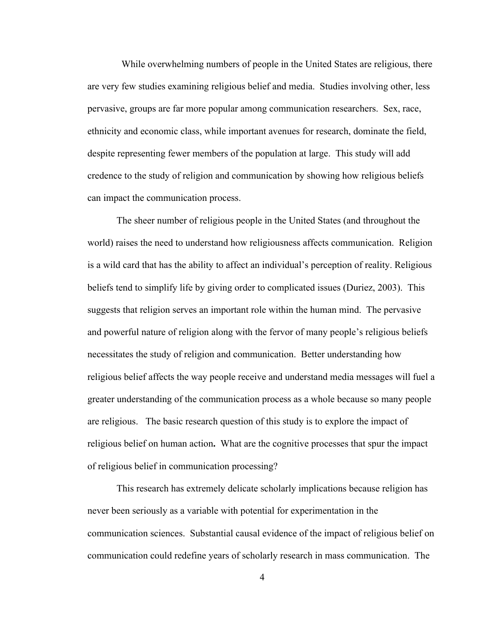While overwhelming numbers of people in the United States are religious, there are very few studies examining religious belief and media. Studies involving other, less pervasive, groups are far more popular among communication researchers. Sex, race, ethnicity and economic class, while important avenues for research, dominate the field, despite representing fewer members of the population at large. This study will add credence to the study of religion and communication by showing how religious beliefs can impact the communication process.

The sheer number of religious people in the United States (and throughout the world) raises the need to understand how religiousness affects communication. Religion is a wild card that has the ability to affect an individual's perception of reality. Religious beliefs tend to simplify life by giving order to complicated issues (Duriez, 2003). This suggests that religion serves an important role within the human mind. The pervasive and powerful nature of religion along with the fervor of many people's religious beliefs necessitates the study of religion and communication. Better understanding how religious belief affects the way people receive and understand media messages will fuel a greater understanding of the communication process as a whole because so many people are religious. The basic research question of this study is to explore the impact of religious belief on human action**.** What are the cognitive processes that spur the impact of religious belief in communication processing?

This research has extremely delicate scholarly implications because religion has never been seriously as a variable with potential for experimentation in the communication sciences. Substantial causal evidence of the impact of religious belief on communication could redefine years of scholarly research in mass communication. The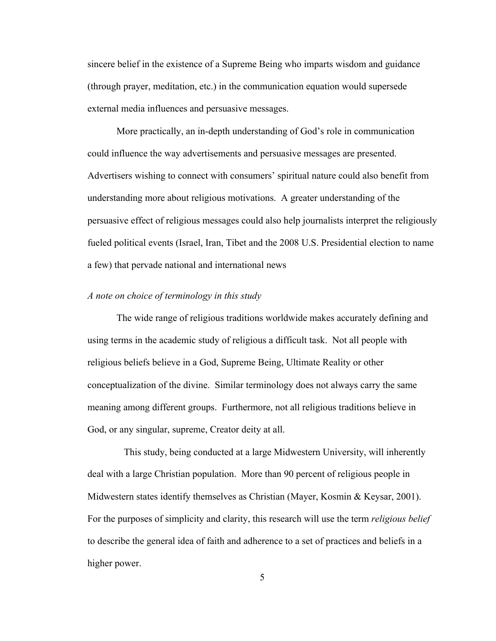sincere belief in the existence of a Supreme Being who imparts wisdom and guidance (through prayer, meditation, etc.) in the communication equation would supersede external media influences and persuasive messages.

More practically, an in-depth understanding of God's role in communication could influence the way advertisements and persuasive messages are presented. Advertisers wishing to connect with consumers' spiritual nature could also benefit from understanding more about religious motivations. A greater understanding of the persuasive effect of religious messages could also help journalists interpret the religiously fueled political events (Israel, Iran, Tibet and the 2008 U.S. Presidential election to name a few) that pervade national and international news

#### *A note on choice of terminology in this study*

The wide range of religious traditions worldwide makes accurately defining and using terms in the academic study of religious a difficult task. Not all people with religious beliefs believe in a God, Supreme Being, Ultimate Reality or other conceptualization of the divine. Similar terminology does not always carry the same meaning among different groups. Furthermore, not all religious traditions believe in God, or any singular, supreme, Creator deity at all.

 This study, being conducted at a large Midwestern University, will inherently deal with a large Christian population. More than 90 percent of religious people in Midwestern states identify themselves as Christian (Mayer, Kosmin & Keysar, 2001). For the purposes of simplicity and clarity, this research will use the term *religious belief* to describe the general idea of faith and adherence to a set of practices and beliefs in a higher power.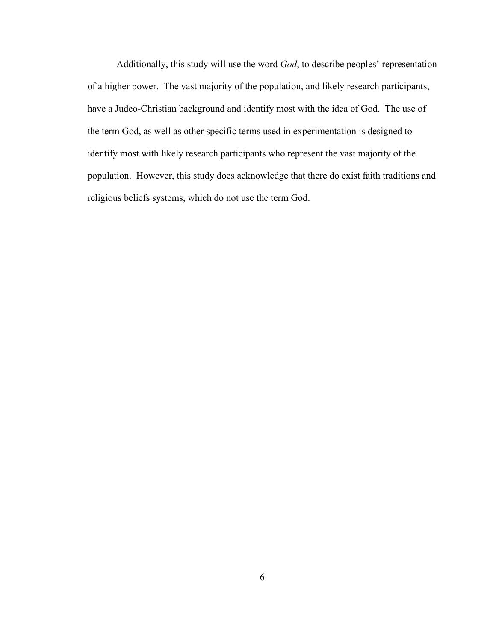Additionally, this study will use the word *God*, to describe peoples' representation of a higher power. The vast majority of the population, and likely research participants, have a Judeo-Christian background and identify most with the idea of God. The use of the term God, as well as other specific terms used in experimentation is designed to identify most with likely research participants who represent the vast majority of the population. However, this study does acknowledge that there do exist faith traditions and religious beliefs systems, which do not use the term God.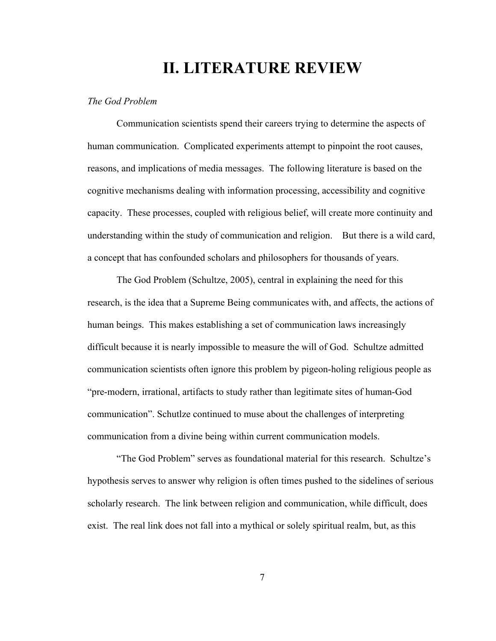## **II. LITERATURE REVIEW**

#### *The God Problem*

Communication scientists spend their careers trying to determine the aspects of human communication. Complicated experiments attempt to pinpoint the root causes, reasons, and implications of media messages. The following literature is based on the cognitive mechanisms dealing with information processing, accessibility and cognitive capacity. These processes, coupled with religious belief, will create more continuity and understanding within the study of communication and religion. But there is a wild card, a concept that has confounded scholars and philosophers for thousands of years.

The God Problem (Schultze, 2005), central in explaining the need for this research, is the idea that a Supreme Being communicates with, and affects, the actions of human beings. This makes establishing a set of communication laws increasingly difficult because it is nearly impossible to measure the will of God. Schultze admitted communication scientists often ignore this problem by pigeon-holing religious people as "pre-modern, irrational, artifacts to study rather than legitimate sites of human-God communication". Schutlze continued to muse about the challenges of interpreting communication from a divine being within current communication models.

"The God Problem" serves as foundational material for this research. Schultze's hypothesis serves to answer why religion is often times pushed to the sidelines of serious scholarly research. The link between religion and communication, while difficult, does exist. The real link does not fall into a mythical or solely spiritual realm, but, as this

7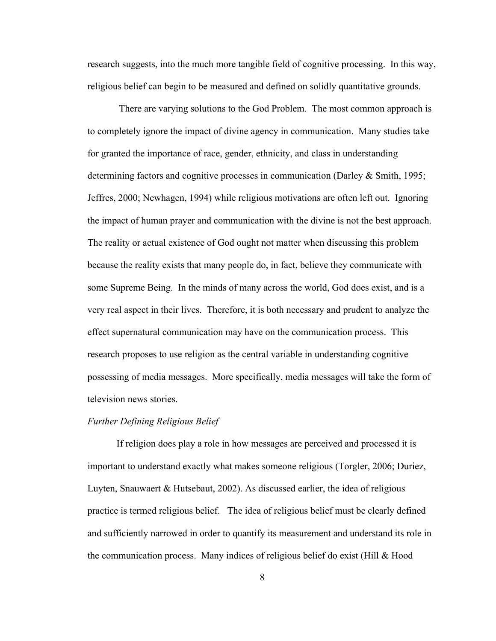research suggests, into the much more tangible field of cognitive processing. In this way, religious belief can begin to be measured and defined on solidly quantitative grounds.

 There are varying solutions to the God Problem. The most common approach is to completely ignore the impact of divine agency in communication. Many studies take for granted the importance of race, gender, ethnicity, and class in understanding determining factors and cognitive processes in communication (Darley & Smith, 1995; Jeffres, 2000; Newhagen, 1994) while religious motivations are often left out. Ignoring the impact of human prayer and communication with the divine is not the best approach. The reality or actual existence of God ought not matter when discussing this problem because the reality exists that many people do, in fact, believe they communicate with some Supreme Being. In the minds of many across the world, God does exist, and is a very real aspect in their lives. Therefore, it is both necessary and prudent to analyze the effect supernatural communication may have on the communication process. This research proposes to use religion as the central variable in understanding cognitive possessing of media messages. More specifically, media messages will take the form of television news stories.

#### *Further Defining Religious Belief*

If religion does play a role in how messages are perceived and processed it is important to understand exactly what makes someone religious (Torgler, 2006; Duriez, Luyten, Snauwaert & Hutsebaut, 2002). As discussed earlier, the idea of religious practice is termed religious belief. The idea of religious belief must be clearly defined and sufficiently narrowed in order to quantify its measurement and understand its role in the communication process. Many indices of religious belief do exist (Hill & Hood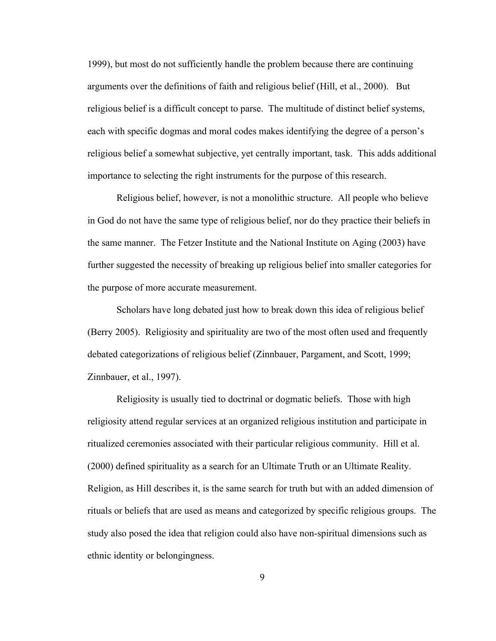1999), but most do not sufficiently handle the problem because there are continuing arguments over the definitions of faith and religious belief (Hill, et al., 2000). But religious belief is a difficult concept to parse. The multitude of distinct belief systems, each with specific dogmas and moral codes makes identifying the degree of a person's religious belief a somewhat subjective, yet centrally important, task. This adds additional importance to selecting the right instruments for the purpose of this research.

Religious belief, however, is not a monolithic structure. All people who believe in God do not have the same type of religious belief, nor do they practice their beliefs in the same manner. The Fetzer Institute and the National Institute on Aging (2003) have further suggested the necessity of breaking up religious belief into smaller categories for the purpose of more accurate measurement.

Scholars have long debated just how to break down this idea of religious belief (Berry 2005). Religiosity and spirituality are two of the most often used and frequently debated categorizations of religious belief (Zinnbauer, Pargament, and Scott, 1999; Zinnbauer, et al., 1997).

Religiosity is usually tied to doctrinal or dogmatic beliefs. Those with high religiosity attend regular services at an organized religious institution and participate in ritualized ceremonies associated with their particular religious community. Hill et al. (2000) defined spirituality as a search for an Ultimate Truth or an Ultimate Reality. Religion, as Hill describes it, is the same search for truth but with an added dimension of rituals or beliefs that are used as means and categorized by specific religious groups. The study also posed the idea that religion could also have non-spiritual dimensions such as ethnic identity or belongingness.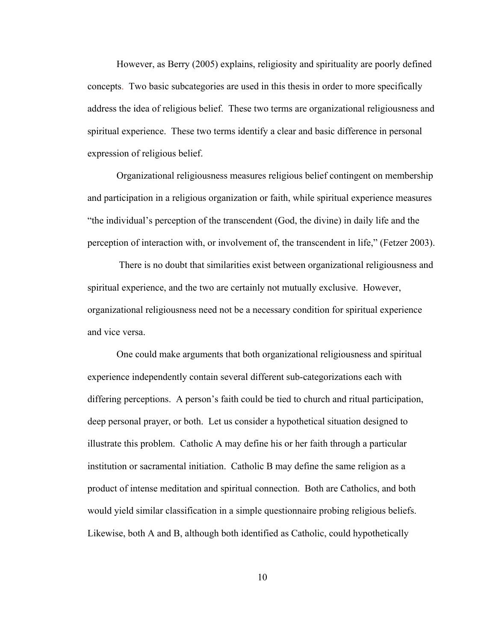However, as Berry (2005) explains, religiosity and spirituality are poorly defined concepts. Two basic subcategories are used in this thesis in order to more specifically address the idea of religious belief. These two terms are organizational religiousness and spiritual experience. These two terms identify a clear and basic difference in personal expression of religious belief.

Organizational religiousness measures religious belief contingent on membership and participation in a religious organization or faith, while spiritual experience measures "the individual's perception of the transcendent (God, the divine) in daily life and the perception of interaction with, or involvement of, the transcendent in life," (Fetzer 2003).

There is no doubt that similarities exist between organizational religiousness and spiritual experience, and the two are certainly not mutually exclusive. However, organizational religiousness need not be a necessary condition for spiritual experience and vice versa.

One could make arguments that both organizational religiousness and spiritual experience independently contain several different sub-categorizations each with differing perceptions. A person's faith could be tied to church and ritual participation, deep personal prayer, or both. Let us consider a hypothetical situation designed to illustrate this problem. Catholic A may define his or her faith through a particular institution or sacramental initiation. Catholic B may define the same religion as a product of intense meditation and spiritual connection. Both are Catholics, and both would yield similar classification in a simple questionnaire probing religious beliefs. Likewise, both A and B, although both identified as Catholic, could hypothetically

10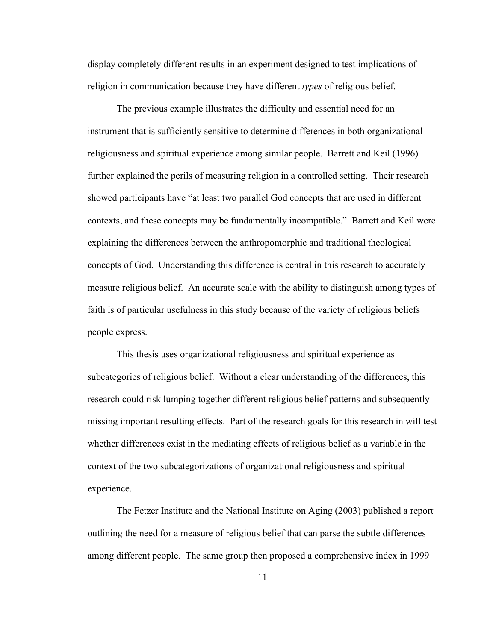display completely different results in an experiment designed to test implications of religion in communication because they have different *types* of religious belief.

The previous example illustrates the difficulty and essential need for an instrument that is sufficiently sensitive to determine differences in both organizational religiousness and spiritual experience among similar people. Barrett and Keil (1996) further explained the perils of measuring religion in a controlled setting. Their research showed participants have "at least two parallel God concepts that are used in different contexts, and these concepts may be fundamentally incompatible." Barrett and Keil were explaining the differences between the anthropomorphic and traditional theological concepts of God. Understanding this difference is central in this research to accurately measure religious belief. An accurate scale with the ability to distinguish among types of faith is of particular usefulness in this study because of the variety of religious beliefs people express.

This thesis uses organizational religiousness and spiritual experience as subcategories of religious belief. Without a clear understanding of the differences, this research could risk lumping together different religious belief patterns and subsequently missing important resulting effects. Part of the research goals for this research in will test whether differences exist in the mediating effects of religious belief as a variable in the context of the two subcategorizations of organizational religiousness and spiritual experience.

The Fetzer Institute and the National Institute on Aging (2003) published a report outlining the need for a measure of religious belief that can parse the subtle differences among different people. The same group then proposed a comprehensive index in 1999

11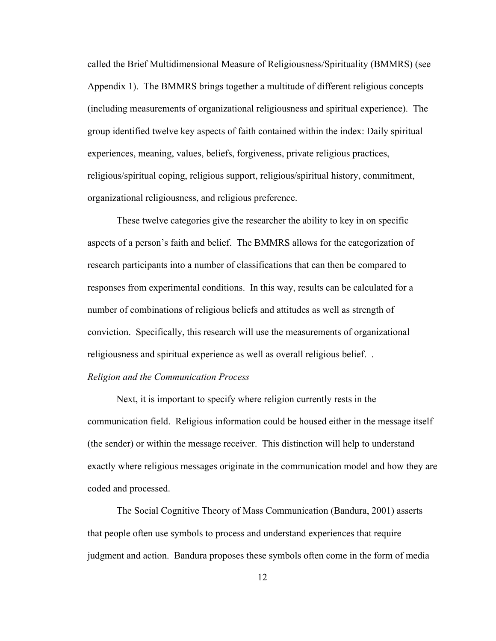called the Brief Multidimensional Measure of Religiousness/Spirituality (BMMRS) (see Appendix 1). The BMMRS brings together a multitude of different religious concepts (including measurements of organizational religiousness and spiritual experience). The group identified twelve key aspects of faith contained within the index: Daily spiritual experiences, meaning, values, beliefs, forgiveness, private religious practices, religious/spiritual coping, religious support, religious/spiritual history, commitment, organizational religiousness, and religious preference.

These twelve categories give the researcher the ability to key in on specific aspects of a person's faith and belief. The BMMRS allows for the categorization of research participants into a number of classifications that can then be compared to responses from experimental conditions. In this way, results can be calculated for a number of combinations of religious beliefs and attitudes as well as strength of conviction. Specifically, this research will use the measurements of organizational religiousness and spiritual experience as well as overall religious belief. .

#### *Religion and the Communication Process*

Next, it is important to specify where religion currently rests in the communication field. Religious information could be housed either in the message itself (the sender) or within the message receiver. This distinction will help to understand exactly where religious messages originate in the communication model and how they are coded and processed.

The Social Cognitive Theory of Mass Communication (Bandura, 2001) asserts that people often use symbols to process and understand experiences that require judgment and action. Bandura proposes these symbols often come in the form of media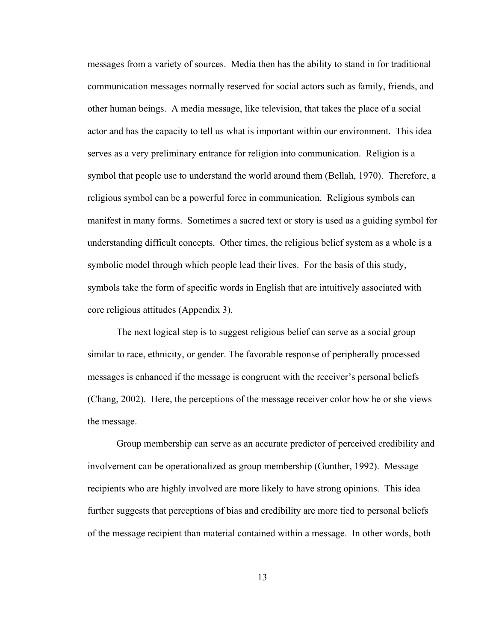messages from a variety of sources. Media then has the ability to stand in for traditional communication messages normally reserved for social actors such as family, friends, and other human beings. A media message, like television, that takes the place of a social actor and has the capacity to tell us what is important within our environment. This idea serves as a very preliminary entrance for religion into communication. Religion is a symbol that people use to understand the world around them (Bellah, 1970). Therefore, a religious symbol can be a powerful force in communication. Religious symbols can manifest in many forms. Sometimes a sacred text or story is used as a guiding symbol for understanding difficult concepts. Other times, the religious belief system as a whole is a symbolic model through which people lead their lives. For the basis of this study, symbols take the form of specific words in English that are intuitively associated with core religious attitudes (Appendix 3).

The next logical step is to suggest religious belief can serve as a social group similar to race, ethnicity, or gender. The favorable response of peripherally processed messages is enhanced if the message is congruent with the receiver's personal beliefs (Chang, 2002). Here, the perceptions of the message receiver color how he or she views the message.

Group membership can serve as an accurate predictor of perceived credibility and involvement can be operationalized as group membership (Gunther, 1992). Message recipients who are highly involved are more likely to have strong opinions. This idea further suggests that perceptions of bias and credibility are more tied to personal beliefs of the message recipient than material contained within a message. In other words, both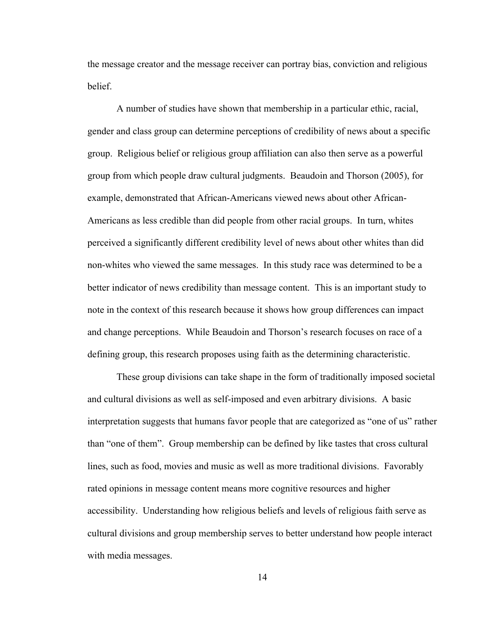the message creator and the message receiver can portray bias, conviction and religious belief.

A number of studies have shown that membership in a particular ethic, racial, gender and class group can determine perceptions of credibility of news about a specific group. Religious belief or religious group affiliation can also then serve as a powerful group from which people draw cultural judgments. Beaudoin and Thorson (2005), for example, demonstrated that African-Americans viewed news about other African-Americans as less credible than did people from other racial groups. In turn, whites perceived a significantly different credibility level of news about other whites than did non-whites who viewed the same messages. In this study race was determined to be a better indicator of news credibility than message content. This is an important study to note in the context of this research because it shows how group differences can impact and change perceptions. While Beaudoin and Thorson's research focuses on race of a defining group, this research proposes using faith as the determining characteristic.

These group divisions can take shape in the form of traditionally imposed societal and cultural divisions as well as self-imposed and even arbitrary divisions. A basic interpretation suggests that humans favor people that are categorized as "one of us" rather than "one of them". Group membership can be defined by like tastes that cross cultural lines, such as food, movies and music as well as more traditional divisions. Favorably rated opinions in message content means more cognitive resources and higher accessibility. Understanding how religious beliefs and levels of religious faith serve as cultural divisions and group membership serves to better understand how people interact with media messages.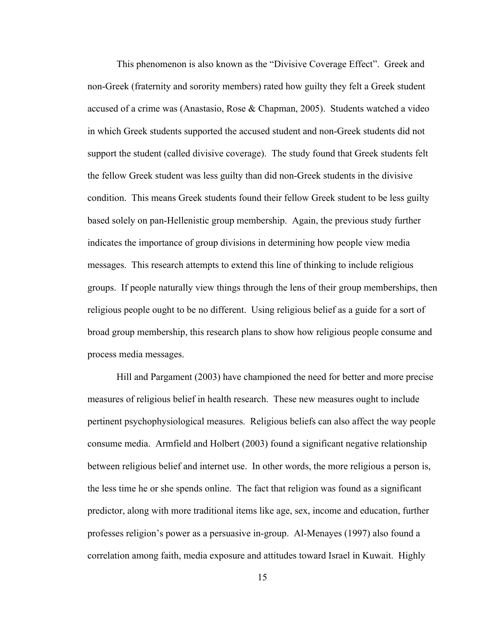This phenomenon is also known as the "Divisive Coverage Effect". Greek and non-Greek (fraternity and sorority members) rated how guilty they felt a Greek student accused of a crime was (Anastasio, Rose & Chapman, 2005). Students watched a video in which Greek students supported the accused student and non-Greek students did not support the student (called divisive coverage). The study found that Greek students felt the fellow Greek student was less guilty than did non-Greek students in the divisive condition. This means Greek students found their fellow Greek student to be less guilty based solely on pan-Hellenistic group membership. Again, the previous study further indicates the importance of group divisions in determining how people view media messages. This research attempts to extend this line of thinking to include religious groups. If people naturally view things through the lens of their group memberships, then religious people ought to be no different. Using religious belief as a guide for a sort of broad group membership, this research plans to show how religious people consume and process media messages.

Hill and Pargament (2003) have championed the need for better and more precise measures of religious belief in health research. These new measures ought to include pertinent psychophysiological measures. Religious beliefs can also affect the way people consume media. Armfield and Holbert (2003) found a significant negative relationship between religious belief and internet use. In other words, the more religious a person is, the less time he or she spends online. The fact that religion was found as a significant predictor, along with more traditional items like age, sex, income and education, further professes religion's power as a persuasive in-group. Al-Menayes (1997) also found a correlation among faith, media exposure and attitudes toward Israel in Kuwait. Highly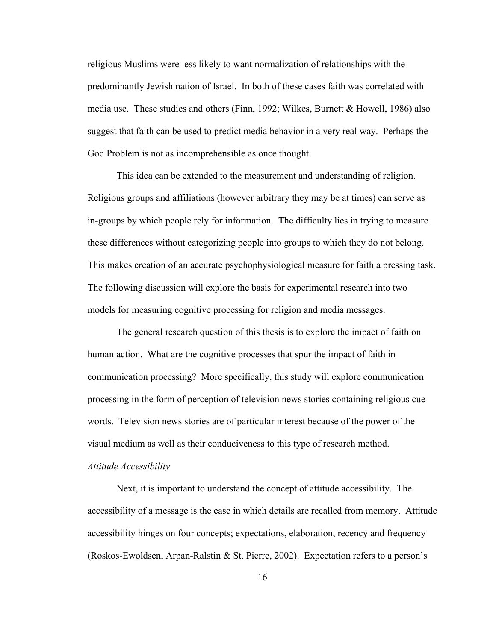religious Muslims were less likely to want normalization of relationships with the predominantly Jewish nation of Israel. In both of these cases faith was correlated with media use. These studies and others (Finn, 1992; Wilkes, Burnett & Howell, 1986) also suggest that faith can be used to predict media behavior in a very real way. Perhaps the God Problem is not as incomprehensible as once thought.

This idea can be extended to the measurement and understanding of religion. Religious groups and affiliations (however arbitrary they may be at times) can serve as in-groups by which people rely for information. The difficulty lies in trying to measure these differences without categorizing people into groups to which they do not belong. This makes creation of an accurate psychophysiological measure for faith a pressing task. The following discussion will explore the basis for experimental research into two models for measuring cognitive processing for religion and media messages.

The general research question of this thesis is to explore the impact of faith on human action. What are the cognitive processes that spur the impact of faith in communication processing? More specifically, this study will explore communication processing in the form of perception of television news stories containing religious cue words. Television news stories are of particular interest because of the power of the visual medium as well as their conduciveness to this type of research method. *Attitude Accessibility*

Next, it is important to understand the concept of attitude accessibility. The accessibility of a message is the ease in which details are recalled from memory. Attitude accessibility hinges on four concepts; expectations, elaboration, recency and frequency (Roskos-Ewoldsen, Arpan-Ralstin & St. Pierre, 2002). Expectation refers to a person's

16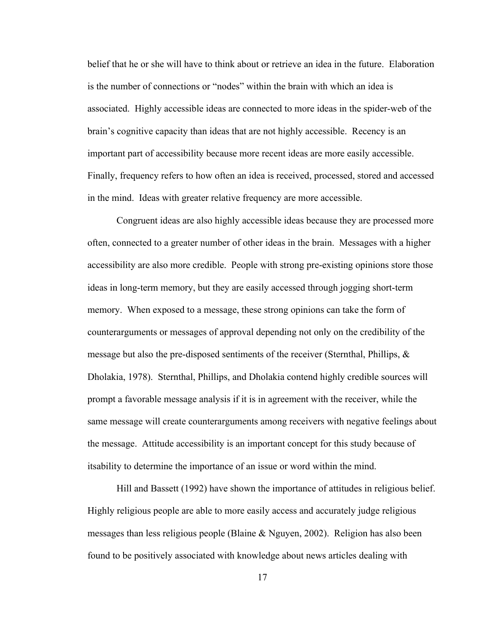belief that he or she will have to think about or retrieve an idea in the future. Elaboration is the number of connections or "nodes" within the brain with which an idea is associated. Highly accessible ideas are connected to more ideas in the spider-web of the brain's cognitive capacity than ideas that are not highly accessible. Recency is an important part of accessibility because more recent ideas are more easily accessible. Finally, frequency refers to how often an idea is received, processed, stored and accessed in the mind. Ideas with greater relative frequency are more accessible.

Congruent ideas are also highly accessible ideas because they are processed more often, connected to a greater number of other ideas in the brain. Messages with a higher accessibility are also more credible. People with strong pre-existing opinions store those ideas in long-term memory, but they are easily accessed through jogging short-term memory. When exposed to a message, these strong opinions can take the form of counterarguments or messages of approval depending not only on the credibility of the message but also the pre-disposed sentiments of the receiver (Sternthal, Phillips, & Dholakia, 1978). Sternthal, Phillips, and Dholakia contend highly credible sources will prompt a favorable message analysis if it is in agreement with the receiver, while the same message will create counterarguments among receivers with negative feelings about the message. Attitude accessibility is an important concept for this study because of itsability to determine the importance of an issue or word within the mind.

Hill and Bassett (1992) have shown the importance of attitudes in religious belief. Highly religious people are able to more easily access and accurately judge religious messages than less religious people (Blaine & Nguyen, 2002). Religion has also been found to be positively associated with knowledge about news articles dealing with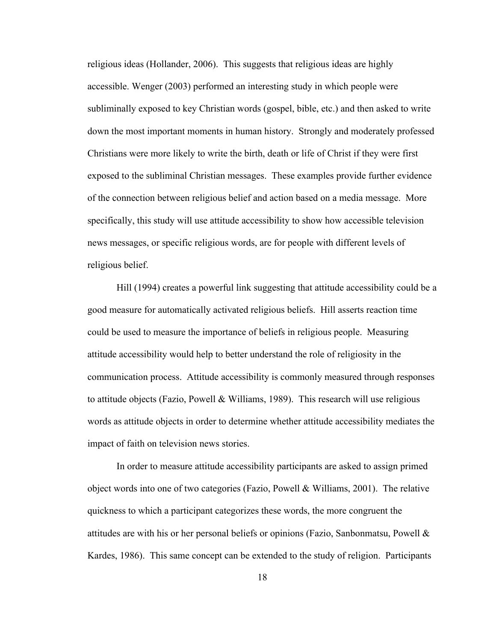religious ideas (Hollander, 2006). This suggests that religious ideas are highly accessible. Wenger (2003) performed an interesting study in which people were subliminally exposed to key Christian words (gospel, bible, etc.) and then asked to write down the most important moments in human history. Strongly and moderately professed Christians were more likely to write the birth, death or life of Christ if they were first exposed to the subliminal Christian messages. These examples provide further evidence of the connection between religious belief and action based on a media message. More specifically, this study will use attitude accessibility to show how accessible television news messages, or specific religious words, are for people with different levels of religious belief.

Hill (1994) creates a powerful link suggesting that attitude accessibility could be a good measure for automatically activated religious beliefs. Hill asserts reaction time could be used to measure the importance of beliefs in religious people. Measuring attitude accessibility would help to better understand the role of religiosity in the communication process. Attitude accessibility is commonly measured through responses to attitude objects (Fazio, Powell & Williams, 1989). This research will use religious words as attitude objects in order to determine whether attitude accessibility mediates the impact of faith on television news stories.

In order to measure attitude accessibility participants are asked to assign primed object words into one of two categories (Fazio, Powell & Williams, 2001). The relative quickness to which a participant categorizes these words, the more congruent the attitudes are with his or her personal beliefs or opinions (Fazio, Sanbonmatsu, Powell  $\&$ Kardes, 1986). This same concept can be extended to the study of religion. Participants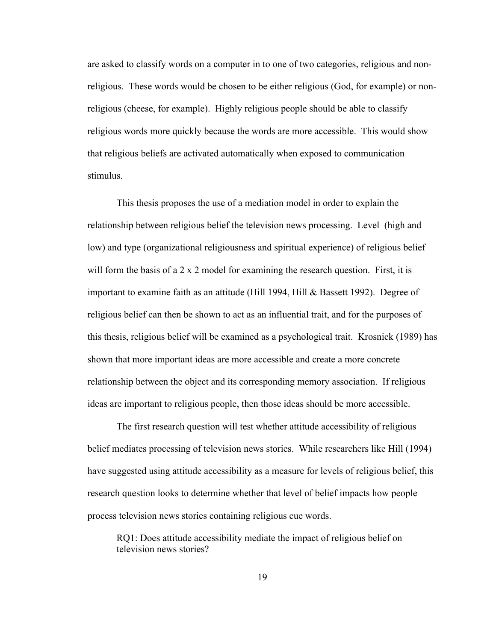are asked to classify words on a computer in to one of two categories, religious and nonreligious. These words would be chosen to be either religious (God, for example) or nonreligious (cheese, for example). Highly religious people should be able to classify religious words more quickly because the words are more accessible. This would show that religious beliefs are activated automatically when exposed to communication stimulus.

This thesis proposes the use of a mediation model in order to explain the relationship between religious belief the television news processing. Level (high and low) and type (organizational religiousness and spiritual experience) of religious belief will form the basis of a 2 x 2 model for examining the research question. First, it is important to examine faith as an attitude (Hill 1994, Hill & Bassett 1992). Degree of religious belief can then be shown to act as an influential trait, and for the purposes of this thesis, religious belief will be examined as a psychological trait. Krosnick (1989) has shown that more important ideas are more accessible and create a more concrete relationship between the object and its corresponding memory association. If religious ideas are important to religious people, then those ideas should be more accessible.

The first research question will test whether attitude accessibility of religious belief mediates processing of television news stories. While researchers like Hill (1994) have suggested using attitude accessibility as a measure for levels of religious belief, this research question looks to determine whether that level of belief impacts how people process television news stories containing religious cue words.

RQ1: Does attitude accessibility mediate the impact of religious belief on television news stories?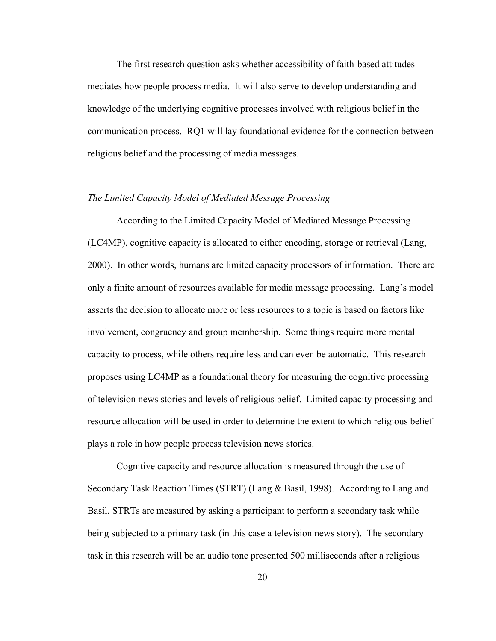The first research question asks whether accessibility of faith-based attitudes mediates how people process media. It will also serve to develop understanding and knowledge of the underlying cognitive processes involved with religious belief in the communication process. RQ1 will lay foundational evidence for the connection between religious belief and the processing of media messages.

#### *The Limited Capacity Model of Mediated Message Processing*

According to the Limited Capacity Model of Mediated Message Processing (LC4MP), cognitive capacity is allocated to either encoding, storage or retrieval (Lang, 2000). In other words, humans are limited capacity processors of information. There are only a finite amount of resources available for media message processing. Lang's model asserts the decision to allocate more or less resources to a topic is based on factors like involvement, congruency and group membership. Some things require more mental capacity to process, while others require less and can even be automatic. This research proposes using LC4MP as a foundational theory for measuring the cognitive processing of television news stories and levels of religious belief. Limited capacity processing and resource allocation will be used in order to determine the extent to which religious belief plays a role in how people process television news stories.

Cognitive capacity and resource allocation is measured through the use of Secondary Task Reaction Times (STRT) (Lang & Basil, 1998). According to Lang and Basil, STRTs are measured by asking a participant to perform a secondary task while being subjected to a primary task (in this case a television news story). The secondary task in this research will be an audio tone presented 500 milliseconds after a religious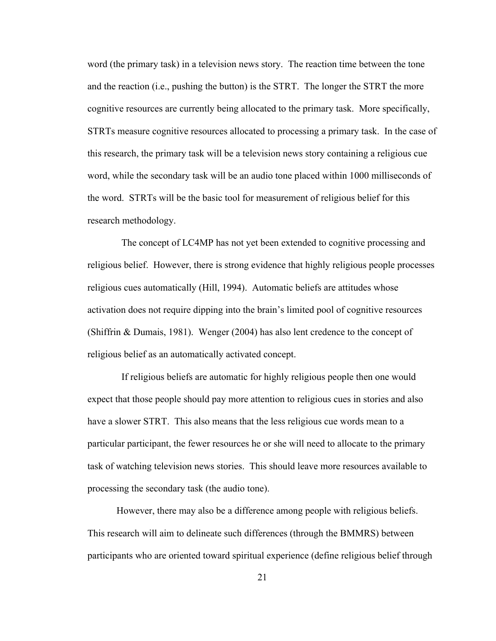word (the primary task) in a television news story. The reaction time between the tone and the reaction (i.e., pushing the button) is the STRT. The longer the STRT the more cognitive resources are currently being allocated to the primary task. More specifically, STRTs measure cognitive resources allocated to processing a primary task. In the case of this research, the primary task will be a television news story containing a religious cue word, while the secondary task will be an audio tone placed within 1000 milliseconds of the word. STRTs will be the basic tool for measurement of religious belief for this research methodology.

 The concept of LC4MP has not yet been extended to cognitive processing and religious belief. However, there is strong evidence that highly religious people processes religious cues automatically (Hill, 1994). Automatic beliefs are attitudes whose activation does not require dipping into the brain's limited pool of cognitive resources (Shiffrin & Dumais, 1981). Wenger (2004) has also lent credence to the concept of religious belief as an automatically activated concept.

 If religious beliefs are automatic for highly religious people then one would expect that those people should pay more attention to religious cues in stories and also have a slower STRT. This also means that the less religious cue words mean to a particular participant, the fewer resources he or she will need to allocate to the primary task of watching television news stories. This should leave more resources available to processing the secondary task (the audio tone).

However, there may also be a difference among people with religious beliefs. This research will aim to delineate such differences (through the BMMRS) between participants who are oriented toward spiritual experience (define religious belief through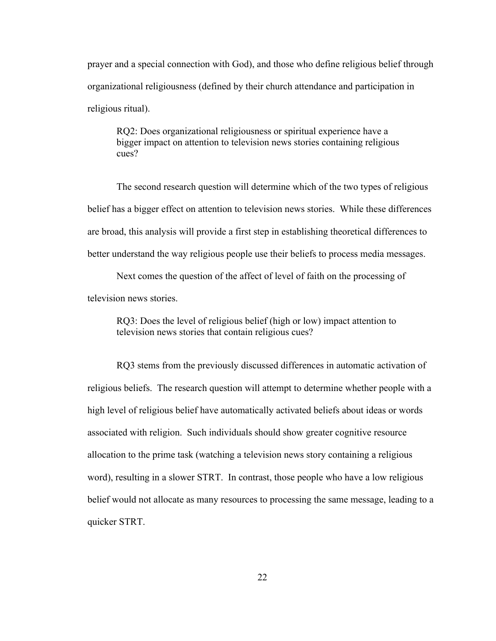prayer and a special connection with God), and those who define religious belief through organizational religiousness (defined by their church attendance and participation in religious ritual).

RQ2: Does organizational religiousness or spiritual experience have a bigger impact on attention to television news stories containing religious cues?

The second research question will determine which of the two types of religious belief has a bigger effect on attention to television news stories. While these differences are broad, this analysis will provide a first step in establishing theoretical differences to better understand the way religious people use their beliefs to process media messages.

Next comes the question of the affect of level of faith on the processing of television news stories.

RQ3: Does the level of religious belief (high or low) impact attention to television news stories that contain religious cues?

RQ3 stems from the previously discussed differences in automatic activation of religious beliefs. The research question will attempt to determine whether people with a high level of religious belief have automatically activated beliefs about ideas or words associated with religion. Such individuals should show greater cognitive resource allocation to the prime task (watching a television news story containing a religious word), resulting in a slower STRT. In contrast, those people who have a low religious belief would not allocate as many resources to processing the same message, leading to a quicker STRT.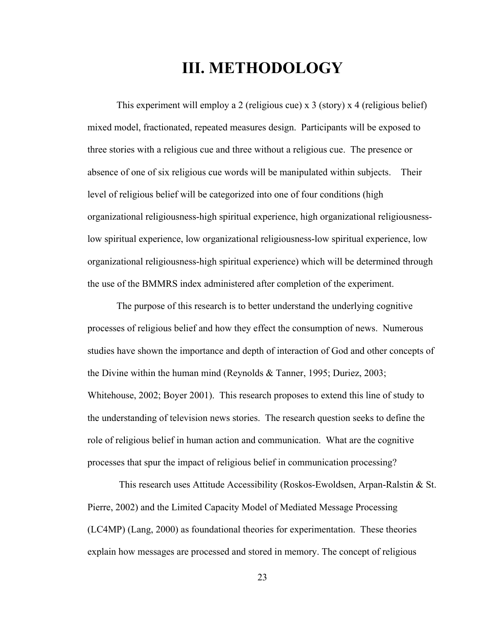## **III. METHODOLOGY**

This experiment will employ a 2 (religious cue) x 3 (story) x 4 (religious belief) mixed model, fractionated, repeated measures design. Participants will be exposed to three stories with a religious cue and three without a religious cue. The presence or absence of one of six religious cue words will be manipulated within subjects. Their level of religious belief will be categorized into one of four conditions (high organizational religiousness-high spiritual experience, high organizational religiousnesslow spiritual experience, low organizational religiousness-low spiritual experience, low organizational religiousness-high spiritual experience) which will be determined through the use of the BMMRS index administered after completion of the experiment.

The purpose of this research is to better understand the underlying cognitive processes of religious belief and how they effect the consumption of news. Numerous studies have shown the importance and depth of interaction of God and other concepts of the Divine within the human mind (Reynolds & Tanner, 1995; Duriez, 2003; Whitehouse, 2002; Boyer 2001). This research proposes to extend this line of study to the understanding of television news stories. The research question seeks to define the role of religious belief in human action and communication. What are the cognitive processes that spur the impact of religious belief in communication processing?

 This research uses Attitude Accessibility (Roskos-Ewoldsen, Arpan-Ralstin & St. Pierre, 2002) and the Limited Capacity Model of Mediated Message Processing (LC4MP) (Lang, 2000) as foundational theories for experimentation. These theories explain how messages are processed and stored in memory. The concept of religious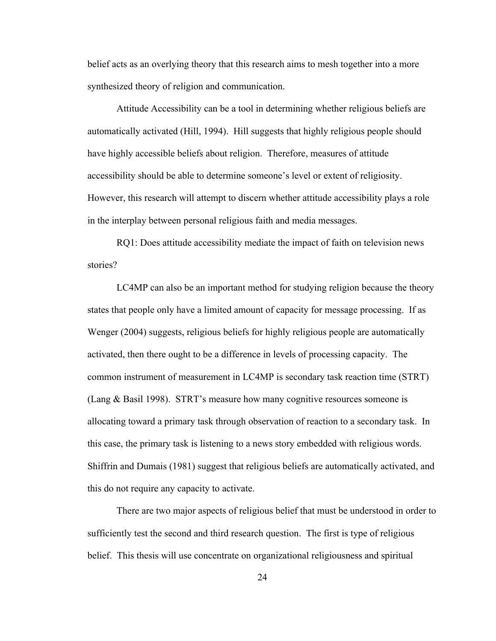belief acts as an overlying theory that this research aims to mesh together into a more synthesized theory of religion and communication.

Attitude Accessibility can be a tool in determining whether religious beliefs are automatically activated (Hill, 1994). Hill suggests that highly religious people should have highly accessible beliefs about religion. Therefore, measures of attitude accessibility should be able to determine someone's level or extent of religiosity. However, this research will attempt to discern whether attitude accessibility plays a role in the interplay between personal religious faith and media messages.

RQ1: Does attitude accessibility mediate the impact of faith on television news stories?

LC4MP can also be an important method for studying religion because the theory states that people only have a limited amount of capacity for message processing. If as Wenger (2004) suggests, religious beliefs for highly religious people are automatically activated, then there ought to be a difference in levels of processing capacity. The common instrument of measurement in LC4MP is secondary task reaction time (STRT) (Lang & Basil 1998). STRT's measure how many cognitive resources someone is allocating toward a primary task through observation of reaction to a secondary task. In this case, the primary task is listening to a news story embedded with religious words. Shiffrin and Dumais (1981) suggest that religious beliefs are automatically activated, and this do not require any capacity to activate.

There are two major aspects of religious belief that must be understood in order to sufficiently test the second and third research question. The first is type of religious belief. This thesis will use concentrate on organizational religiousness and spiritual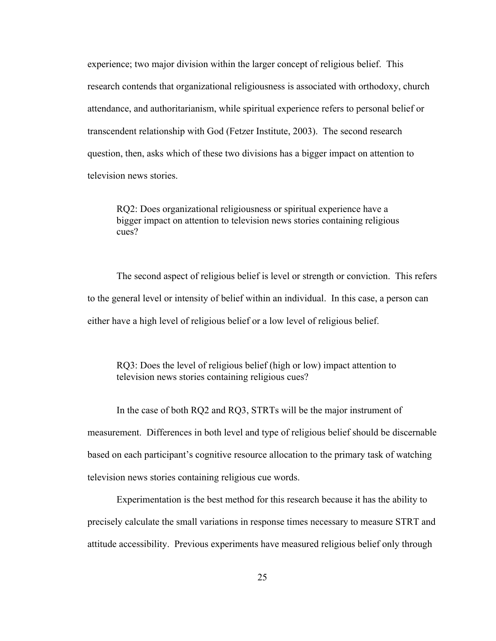experience; two major division within the larger concept of religious belief. This research contends that organizational religiousness is associated with orthodoxy, church attendance, and authoritarianism, while spiritual experience refers to personal belief or transcendent relationship with God (Fetzer Institute, 2003). The second research question, then, asks which of these two divisions has a bigger impact on attention to television news stories.

RQ2: Does organizational religiousness or spiritual experience have a bigger impact on attention to television news stories containing religious cues?

The second aspect of religious belief is level or strength or conviction. This refers to the general level or intensity of belief within an individual. In this case, a person can either have a high level of religious belief or a low level of religious belief.

RQ3: Does the level of religious belief (high or low) impact attention to television news stories containing religious cues?

In the case of both RQ2 and RQ3, STRTs will be the major instrument of measurement. Differences in both level and type of religious belief should be discernable based on each participant's cognitive resource allocation to the primary task of watching television news stories containing religious cue words.

Experimentation is the best method for this research because it has the ability to precisely calculate the small variations in response times necessary to measure STRT and attitude accessibility. Previous experiments have measured religious belief only through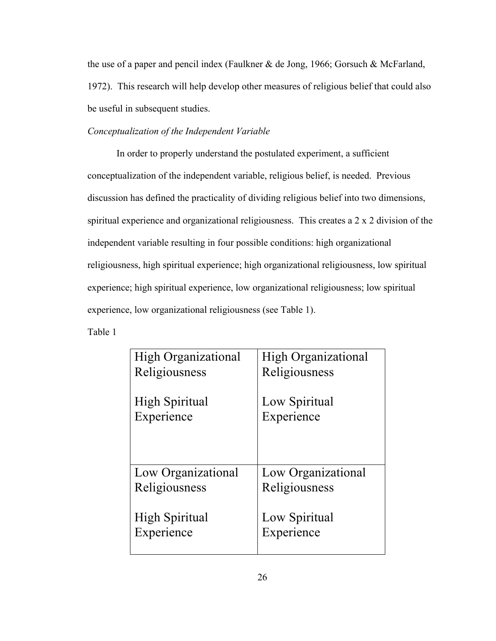the use of a paper and pencil index (Faulkner & de Jong, 1966; Gorsuch & McFarland, 1972). This research will help develop other measures of religious belief that could also be useful in subsequent studies.

#### *Conceptualization of the Independent Variable*

In order to properly understand the postulated experiment, a sufficient conceptualization of the independent variable, religious belief, is needed. Previous discussion has defined the practicality of dividing religious belief into two dimensions, spiritual experience and organizational religiousness. This creates a 2 x 2 division of the independent variable resulting in four possible conditions: high organizational religiousness, high spiritual experience; high organizational religiousness, low spiritual experience; high spiritual experience, low organizational religiousness; low spiritual experience, low organizational religiousness (see Table 1).

Table 1

| <b>High Organizational</b> | <b>High Organizational</b> |
|----------------------------|----------------------------|
| Religiousness              | Religiousness              |
| <b>High Spiritual</b>      | Low Spiritual              |
| Experience                 | Experience                 |
| Low Organizational         | Low Organizational         |
| Religiousness              | Religiousness              |
| High Spiritual             | Low Spiritual              |
| Experience                 | Experience                 |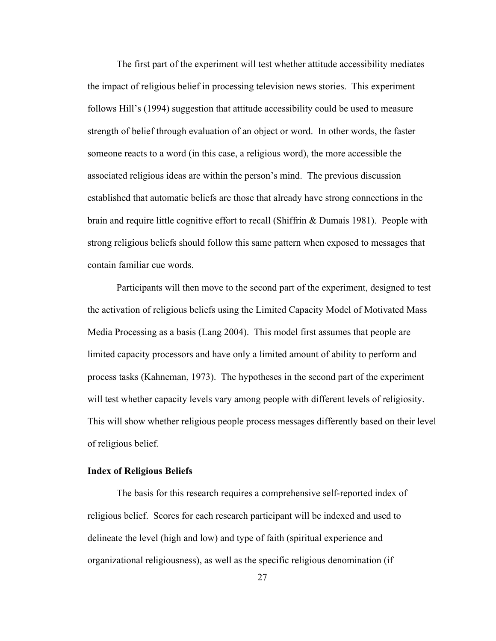The first part of the experiment will test whether attitude accessibility mediates the impact of religious belief in processing television news stories. This experiment follows Hill's (1994) suggestion that attitude accessibility could be used to measure strength of belief through evaluation of an object or word. In other words, the faster someone reacts to a word (in this case, a religious word), the more accessible the associated religious ideas are within the person's mind. The previous discussion established that automatic beliefs are those that already have strong connections in the brain and require little cognitive effort to recall (Shiffrin & Dumais 1981). People with strong religious beliefs should follow this same pattern when exposed to messages that contain familiar cue words.

Participants will then move to the second part of the experiment, designed to test the activation of religious beliefs using the Limited Capacity Model of Motivated Mass Media Processing as a basis (Lang 2004). This model first assumes that people are limited capacity processors and have only a limited amount of ability to perform and process tasks (Kahneman, 1973). The hypotheses in the second part of the experiment will test whether capacity levels vary among people with different levels of religiosity. This will show whether religious people process messages differently based on their level of religious belief.

#### **Index of Religious Beliefs**

The basis for this research requires a comprehensive self-reported index of religious belief. Scores for each research participant will be indexed and used to delineate the level (high and low) and type of faith (spiritual experience and organizational religiousness), as well as the specific religious denomination (if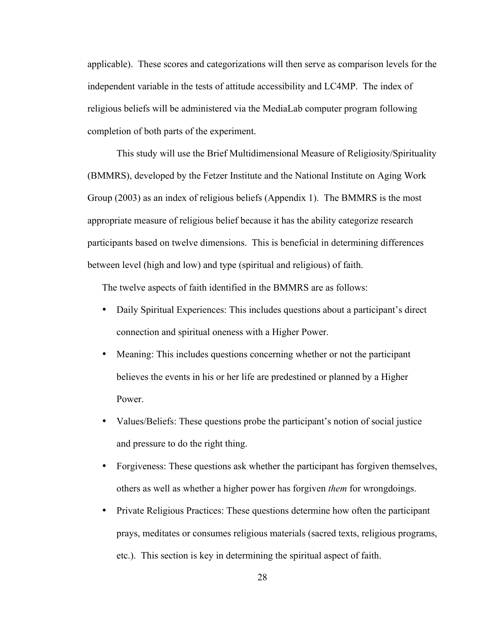applicable). These scores and categorizations will then serve as comparison levels for the independent variable in the tests of attitude accessibility and LC4MP. The index of religious beliefs will be administered via the MediaLab computer program following completion of both parts of the experiment.

This study will use the Brief Multidimensional Measure of Religiosity/Spirituality (BMMRS), developed by the Fetzer Institute and the National Institute on Aging Work Group (2003) as an index of religious beliefs (Appendix 1). The BMMRS is the most appropriate measure of religious belief because it has the ability categorize research participants based on twelve dimensions. This is beneficial in determining differences between level (high and low) and type (spiritual and religious) of faith.

The twelve aspects of faith identified in the BMMRS are as follows:

- Daily Spiritual Experiences: This includes questions about a participant's direct connection and spiritual oneness with a Higher Power.
- Meaning: This includes questions concerning whether or not the participant believes the events in his or her life are predestined or planned by a Higher Power.
- Values/Beliefs: These questions probe the participant's notion of social justice and pressure to do the right thing.
- Forgiveness: These questions ask whether the participant has forgiven themselves, others as well as whether a higher power has forgiven *them* for wrongdoings.
- Private Religious Practices: These questions determine how often the participant prays, meditates or consumes religious materials (sacred texts, religious programs, etc.). This section is key in determining the spiritual aspect of faith.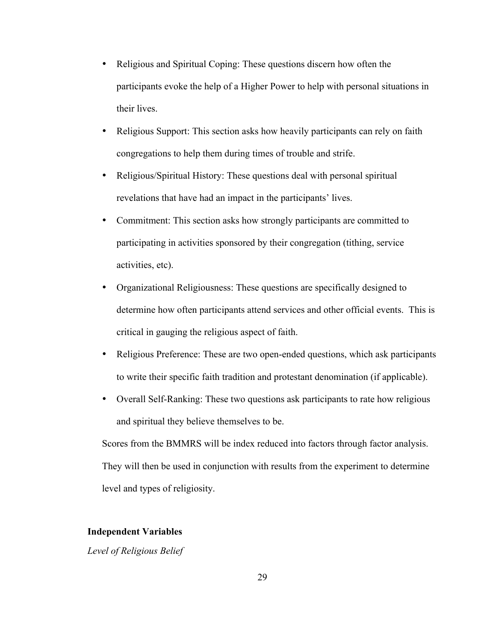- Religious and Spiritual Coping: These questions discern how often the participants evoke the help of a Higher Power to help with personal situations in their lives.
- Religious Support: This section asks how heavily participants can rely on faith congregations to help them during times of trouble and strife.
- Religious/Spiritual History: These questions deal with personal spiritual revelations that have had an impact in the participants' lives.
- Commitment: This section asks how strongly participants are committed to participating in activities sponsored by their congregation (tithing, service activities, etc).
- Organizational Religiousness: These questions are specifically designed to determine how often participants attend services and other official events. This is critical in gauging the religious aspect of faith.
- Religious Preference: These are two open-ended questions, which ask participants to write their specific faith tradition and protestant denomination (if applicable).
- Overall Self-Ranking: These two questions ask participants to rate how religious and spiritual they believe themselves to be.

Scores from the BMMRS will be index reduced into factors through factor analysis. They will then be used in conjunction with results from the experiment to determine level and types of religiosity.

#### **Independent Variables**

*Level of Religious Belief*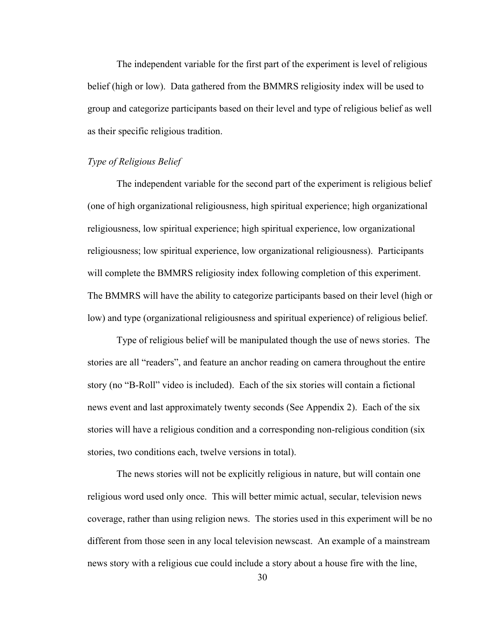The independent variable for the first part of the experiment is level of religious belief (high or low). Data gathered from the BMMRS religiosity index will be used to group and categorize participants based on their level and type of religious belief as well as their specific religious tradition.

#### *Type of Religious Belief*

The independent variable for the second part of the experiment is religious belief (one of high organizational religiousness, high spiritual experience; high organizational religiousness, low spiritual experience; high spiritual experience, low organizational religiousness; low spiritual experience, low organizational religiousness). Participants will complete the BMMRS religiosity index following completion of this experiment. The BMMRS will have the ability to categorize participants based on their level (high or low) and type (organizational religiousness and spiritual experience) of religious belief.

Type of religious belief will be manipulated though the use of news stories. The stories are all "readers", and feature an anchor reading on camera throughout the entire story (no "B-Roll" video is included). Each of the six stories will contain a fictional news event and last approximately twenty seconds (See Appendix 2). Each of the six stories will have a religious condition and a corresponding non-religious condition (six stories, two conditions each, twelve versions in total).

The news stories will not be explicitly religious in nature, but will contain one religious word used only once. This will better mimic actual, secular, television news coverage, rather than using religion news. The stories used in this experiment will be no different from those seen in any local television newscast. An example of a mainstream news story with a religious cue could include a story about a house fire with the line,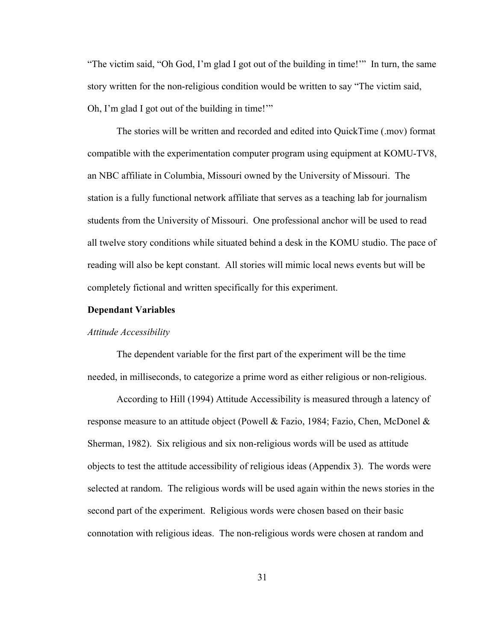"The victim said, "Oh God, I'm glad I got out of the building in time!'" In turn, the same story written for the non-religious condition would be written to say "The victim said, Oh, I'm glad I got out of the building in time!'"

The stories will be written and recorded and edited into QuickTime (.mov) format compatible with the experimentation computer program using equipment at KOMU-TV8, an NBC affiliate in Columbia, Missouri owned by the University of Missouri. The station is a fully functional network affiliate that serves as a teaching lab for journalism students from the University of Missouri. One professional anchor will be used to read all twelve story conditions while situated behind a desk in the KOMU studio. The pace of reading will also be kept constant. All stories will mimic local news events but will be completely fictional and written specifically for this experiment.

#### **Dependant Variables**

#### *Attitude Accessibility*

The dependent variable for the first part of the experiment will be the time needed, in milliseconds, to categorize a prime word as either religious or non-religious.

According to Hill (1994) Attitude Accessibility is measured through a latency of response measure to an attitude object (Powell & Fazio, 1984; Fazio, Chen, McDonel & Sherman, 1982). Six religious and six non-religious words will be used as attitude objects to test the attitude accessibility of religious ideas (Appendix 3). The words were selected at random. The religious words will be used again within the news stories in the second part of the experiment. Religious words were chosen based on their basic connotation with religious ideas. The non-religious words were chosen at random and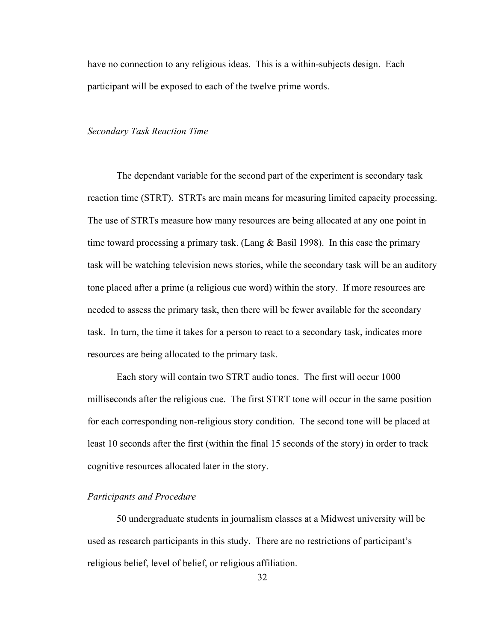have no connection to any religious ideas. This is a within-subjects design. Each participant will be exposed to each of the twelve prime words.

#### *Secondary Task Reaction Time*

The dependant variable for the second part of the experiment is secondary task reaction time (STRT). STRTs are main means for measuring limited capacity processing. The use of STRTs measure how many resources are being allocated at any one point in time toward processing a primary task. (Lang  $&$  Basil 1998). In this case the primary task will be watching television news stories, while the secondary task will be an auditory tone placed after a prime (a religious cue word) within the story. If more resources are needed to assess the primary task, then there will be fewer available for the secondary task. In turn, the time it takes for a person to react to a secondary task, indicates more resources are being allocated to the primary task.

Each story will contain two STRT audio tones. The first will occur 1000 milliseconds after the religious cue. The first STRT tone will occur in the same position for each corresponding non-religious story condition. The second tone will be placed at least 10 seconds after the first (within the final 15 seconds of the story) in order to track cognitive resources allocated later in the story.

#### *Participants and Procedure*

50 undergraduate students in journalism classes at a Midwest university will be used as research participants in this study. There are no restrictions of participant's religious belief, level of belief, or religious affiliation.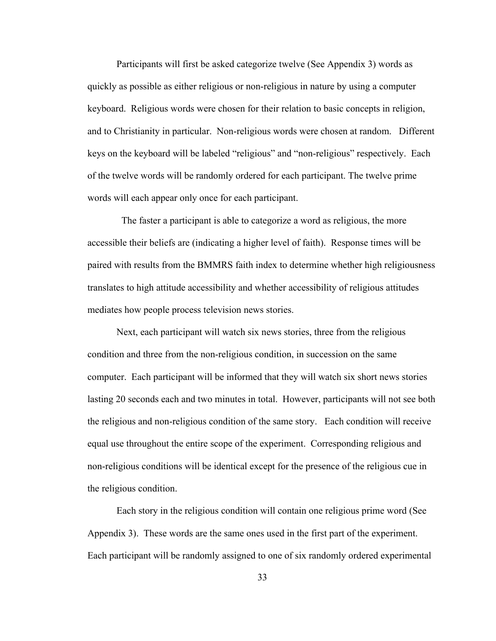Participants will first be asked categorize twelve (See Appendix 3) words as quickly as possible as either religious or non-religious in nature by using a computer keyboard. Religious words were chosen for their relation to basic concepts in religion, and to Christianity in particular. Non-religious words were chosen at random. Different keys on the keyboard will be labeled "religious" and "non-religious" respectively. Each of the twelve words will be randomly ordered for each participant. The twelve prime words will each appear only once for each participant.

 The faster a participant is able to categorize a word as religious, the more accessible their beliefs are (indicating a higher level of faith). Response times will be paired with results from the BMMRS faith index to determine whether high religiousness translates to high attitude accessibility and whether accessibility of religious attitudes mediates how people process television news stories.

Next, each participant will watch six news stories, three from the religious condition and three from the non-religious condition, in succession on the same computer. Each participant will be informed that they will watch six short news stories lasting 20 seconds each and two minutes in total. However, participants will not see both the religious and non-religious condition of the same story. Each condition will receive equal use throughout the entire scope of the experiment. Corresponding religious and non-religious conditions will be identical except for the presence of the religious cue in the religious condition.

Each story in the religious condition will contain one religious prime word (See Appendix 3). These words are the same ones used in the first part of the experiment. Each participant will be randomly assigned to one of six randomly ordered experimental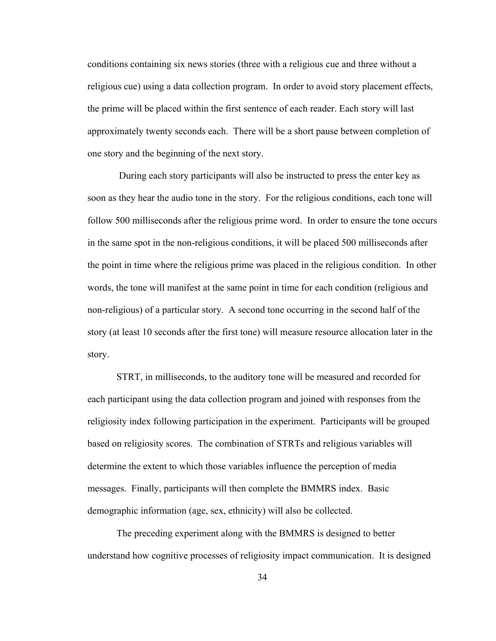conditions containing six news stories (three with a religious cue and three without a religious cue) using a data collection program. In order to avoid story placement effects, the prime will be placed within the first sentence of each reader. Each story will last approximately twenty seconds each. There will be a short pause between completion of one story and the beginning of the next story.

 During each story participants will also be instructed to press the enter key as soon as they hear the audio tone in the story. For the religious conditions, each tone will follow 500 milliseconds after the religious prime word. In order to ensure the tone occurs in the same spot in the non-religious conditions, it will be placed 500 milliseconds after the point in time where the religious prime was placed in the religious condition. In other words, the tone will manifest at the same point in time for each condition (religious and non-religious) of a particular story. A second tone occurring in the second half of the story (at least 10 seconds after the first tone) will measure resource allocation later in the story.

STRT, in milliseconds, to the auditory tone will be measured and recorded for each participant using the data collection program and joined with responses from the religiosity index following participation in the experiment. Participants will be grouped based on religiosity scores. The combination of STRTs and religious variables will determine the extent to which those variables influence the perception of media messages. Finally, participants will then complete the BMMRS index. Basic demographic information (age, sex, ethnicity) will also be collected.

The preceding experiment along with the BMMRS is designed to better understand how cognitive processes of religiosity impact communication. It is designed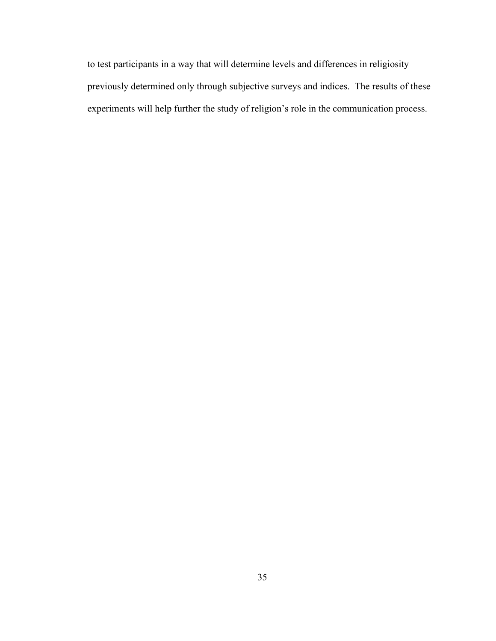to test participants in a way that will determine levels and differences in religiosity previously determined only through subjective surveys and indices. The results of these experiments will help further the study of religion's role in the communication process.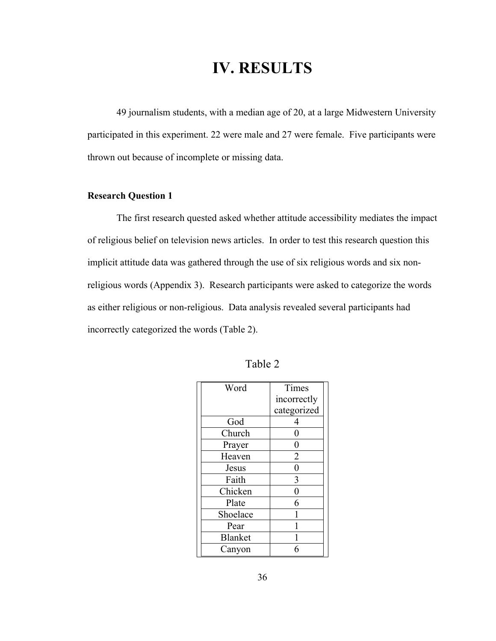## **IV. RESULTS**

49 journalism students, with a median age of 20, at a large Midwestern University participated in this experiment. 22 were male and 27 were female. Five participants were thrown out because of incomplete or missing data.

#### **Research Question 1**

The first research quested asked whether attitude accessibility mediates the impact of religious belief on television news articles. In order to test this research question this implicit attitude data was gathered through the use of six religious words and six nonreligious words (Appendix 3). Research participants were asked to categorize the words as either religious or non-religious. Data analysis revealed several participants had incorrectly categorized the words (Table 2).

| Word           | Times          |  |  |  |
|----------------|----------------|--|--|--|
|                | incorrectly    |  |  |  |
|                | categorized    |  |  |  |
| God            | 4              |  |  |  |
| Church         | 0              |  |  |  |
| Prayer         | 0              |  |  |  |
| Heaven         | $\overline{2}$ |  |  |  |
| Jesus          | $\overline{0}$ |  |  |  |
| Faith          | 3              |  |  |  |
| Chicken        | $\overline{0}$ |  |  |  |
| Plate          | 6              |  |  |  |
| Shoelace       |                |  |  |  |
| Pear           |                |  |  |  |
| <b>Blanket</b> |                |  |  |  |
| Canyon         |                |  |  |  |

| <b>Table</b> |
|--------------|
|--------------|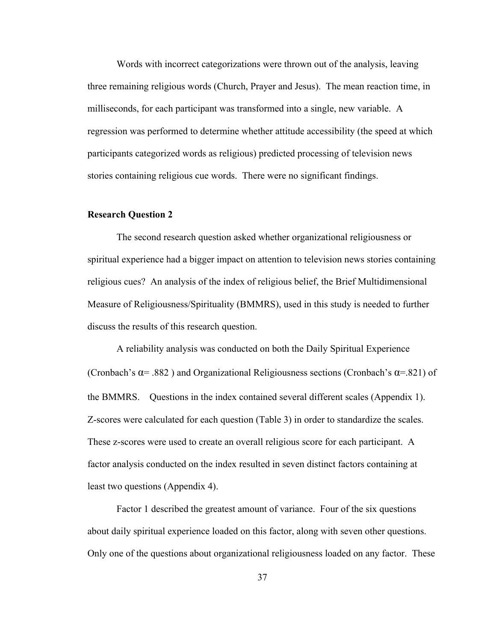Words with incorrect categorizations were thrown out of the analysis, leaving three remaining religious words (Church, Prayer and Jesus). The mean reaction time, in milliseconds, for each participant was transformed into a single, new variable. A regression was performed to determine whether attitude accessibility (the speed at which participants categorized words as religious) predicted processing of television news stories containing religious cue words. There were no significant findings.

#### **Research Question 2**

The second research question asked whether organizational religiousness or spiritual experience had a bigger impact on attention to television news stories containing religious cues? An analysis of the index of religious belief, the Brief Multidimensional Measure of Religiousness/Spirituality (BMMRS), used in this study is needed to further discuss the results of this research question.

A reliability analysis was conducted on both the Daily Spiritual Experience (Cronbach's  $\alpha$ = .882) and Organizational Religiousness sections (Cronbach's  $\alpha$ = .821) of the BMMRS. Questions in the index contained several different scales (Appendix 1). Z-scores were calculated for each question (Table 3) in order to standardize the scales. These z-scores were used to create an overall religious score for each participant. A factor analysis conducted on the index resulted in seven distinct factors containing at least two questions (Appendix 4).

Factor 1 described the greatest amount of variance. Four of the six questions about daily spiritual experience loaded on this factor, along with seven other questions. Only one of the questions about organizational religiousness loaded on any factor. These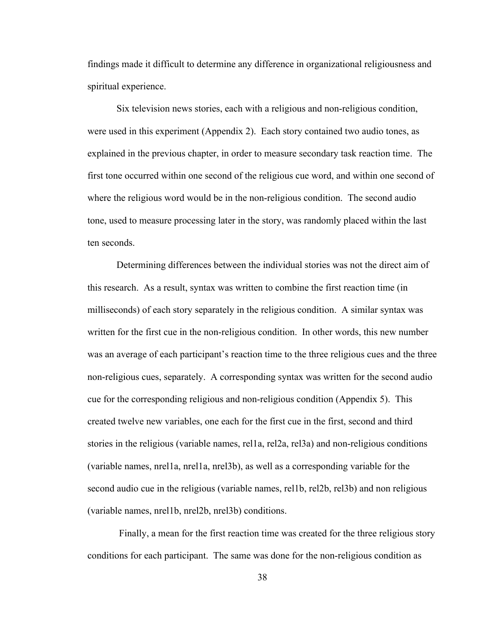findings made it difficult to determine any difference in organizational religiousness and spiritual experience.

Six television news stories, each with a religious and non-religious condition, were used in this experiment (Appendix 2). Each story contained two audio tones, as explained in the previous chapter, in order to measure secondary task reaction time. The first tone occurred within one second of the religious cue word, and within one second of where the religious word would be in the non-religious condition. The second audio tone, used to measure processing later in the story, was randomly placed within the last ten seconds.

Determining differences between the individual stories was not the direct aim of this research. As a result, syntax was written to combine the first reaction time (in milliseconds) of each story separately in the religious condition. A similar syntax was written for the first cue in the non-religious condition. In other words, this new number was an average of each participant's reaction time to the three religious cues and the three non-religious cues, separately. A corresponding syntax was written for the second audio cue for the corresponding religious and non-religious condition (Appendix 5). This created twelve new variables, one each for the first cue in the first, second and third stories in the religious (variable names, rel1a, rel2a, rel3a) and non-religious conditions (variable names, nrel1a, nrel1a, nrel3b), as well as a corresponding variable for the second audio cue in the religious (variable names, rel1b, rel2b, rel3b) and non religious (variable names, nrel1b, nrel2b, nrel3b) conditions.

 Finally, a mean for the first reaction time was created for the three religious story conditions for each participant. The same was done for the non-religious condition as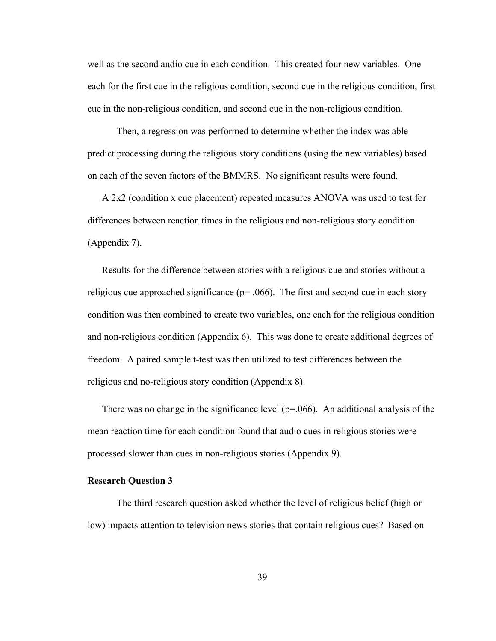well as the second audio cue in each condition. This created four new variables. One each for the first cue in the religious condition, second cue in the religious condition, first cue in the non-religious condition, and second cue in the non-religious condition.

Then, a regression was performed to determine whether the index was able predict processing during the religious story conditions (using the new variables) based on each of the seven factors of the BMMRS. No significant results were found.

A 2x2 (condition x cue placement) repeated measures ANOVA was used to test for differences between reaction times in the religious and non-religious story condition (Appendix 7).

Results for the difference between stories with a religious cue and stories without a religious cue approached significance ( $p= .066$ ). The first and second cue in each story condition was then combined to create two variables, one each for the religious condition and non-religious condition (Appendix 6). This was done to create additional degrees of freedom. A paired sample t-test was then utilized to test differences between the religious and no-religious story condition (Appendix 8).

There was no change in the significance level ( $p=0.066$ ). An additional analysis of the mean reaction time for each condition found that audio cues in religious stories were processed slower than cues in non-religious stories (Appendix 9).

#### **Research Question 3**

The third research question asked whether the level of religious belief (high or low) impacts attention to television news stories that contain religious cues? Based on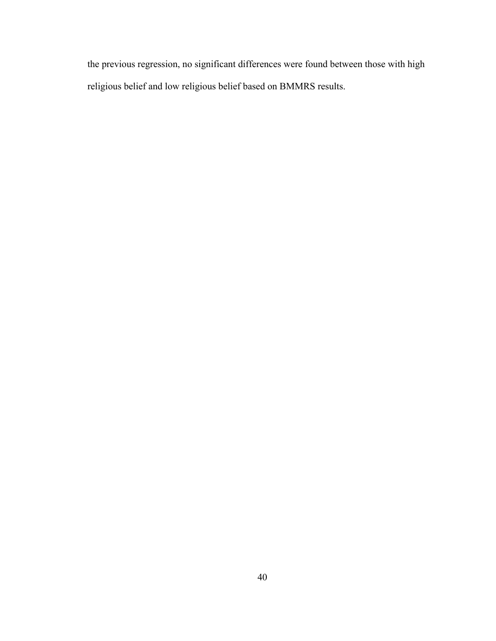the previous regression, no significant differences were found between those with high religious belief and low religious belief based on BMMRS results.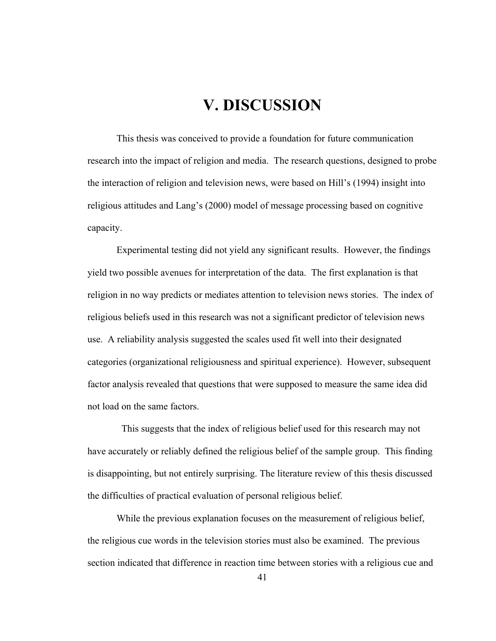# **V. DISCUSSION**

This thesis was conceived to provide a foundation for future communication research into the impact of religion and media. The research questions, designed to probe the interaction of religion and television news, were based on Hill's (1994) insight into religious attitudes and Lang's (2000) model of message processing based on cognitive capacity.

Experimental testing did not yield any significant results. However, the findings yield two possible avenues for interpretation of the data. The first explanation is that religion in no way predicts or mediates attention to television news stories. The index of religious beliefs used in this research was not a significant predictor of television news use. A reliability analysis suggested the scales used fit well into their designated categories (organizational religiousness and spiritual experience). However, subsequent factor analysis revealed that questions that were supposed to measure the same idea did not load on the same factors.

 This suggests that the index of religious belief used for this research may not have accurately or reliably defined the religious belief of the sample group. This finding is disappointing, but not entirely surprising. The literature review of this thesis discussed the difficulties of practical evaluation of personal religious belief.

While the previous explanation focuses on the measurement of religious belief, the religious cue words in the television stories must also be examined. The previous section indicated that difference in reaction time between stories with a religious cue and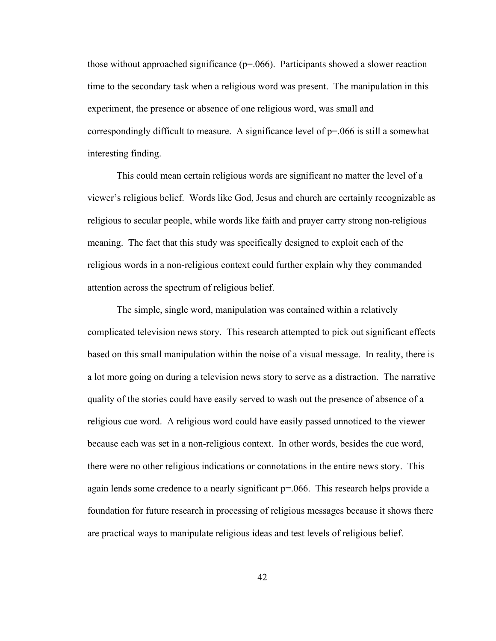those without approached significance  $(p=0.066)$ . Participants showed a slower reaction time to the secondary task when a religious word was present. The manipulation in this experiment, the presence or absence of one religious word, was small and correspondingly difficult to measure. A significance level of  $p=0.066$  is still a somewhat interesting finding.

This could mean certain religious words are significant no matter the level of a viewer's religious belief. Words like God, Jesus and church are certainly recognizable as religious to secular people, while words like faith and prayer carry strong non-religious meaning. The fact that this study was specifically designed to exploit each of the religious words in a non-religious context could further explain why they commanded attention across the spectrum of religious belief.

The simple, single word, manipulation was contained within a relatively complicated television news story. This research attempted to pick out significant effects based on this small manipulation within the noise of a visual message. In reality, there is a lot more going on during a television news story to serve as a distraction. The narrative quality of the stories could have easily served to wash out the presence of absence of a religious cue word. A religious word could have easily passed unnoticed to the viewer because each was set in a non-religious context. In other words, besides the cue word, there were no other religious indications or connotations in the entire news story. This again lends some credence to a nearly significant  $p=0.066$ . This research helps provide a foundation for future research in processing of religious messages because it shows there are practical ways to manipulate religious ideas and test levels of religious belief.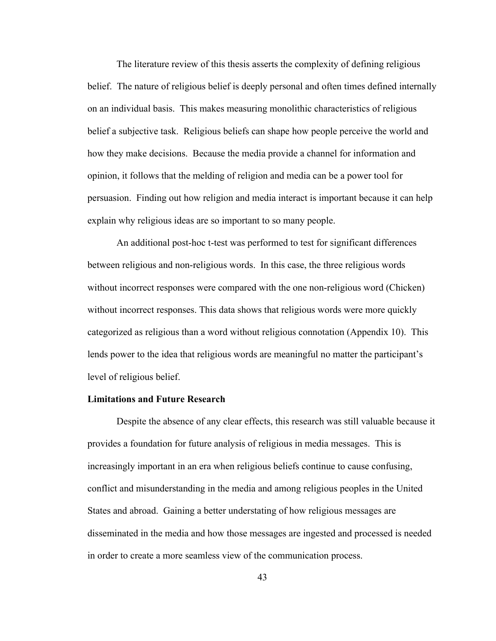The literature review of this thesis asserts the complexity of defining religious belief. The nature of religious belief is deeply personal and often times defined internally on an individual basis. This makes measuring monolithic characteristics of religious belief a subjective task. Religious beliefs can shape how people perceive the world and how they make decisions. Because the media provide a channel for information and opinion, it follows that the melding of religion and media can be a power tool for persuasion. Finding out how religion and media interact is important because it can help explain why religious ideas are so important to so many people.

An additional post-hoc t-test was performed to test for significant differences between religious and non-religious words. In this case, the three religious words without incorrect responses were compared with the one non-religious word (Chicken) without incorrect responses. This data shows that religious words were more quickly categorized as religious than a word without religious connotation (Appendix 10). This lends power to the idea that religious words are meaningful no matter the participant's level of religious belief.

#### **Limitations and Future Research**

Despite the absence of any clear effects, this research was still valuable because it provides a foundation for future analysis of religious in media messages. This is increasingly important in an era when religious beliefs continue to cause confusing, conflict and misunderstanding in the media and among religious peoples in the United States and abroad. Gaining a better understating of how religious messages are disseminated in the media and how those messages are ingested and processed is needed in order to create a more seamless view of the communication process.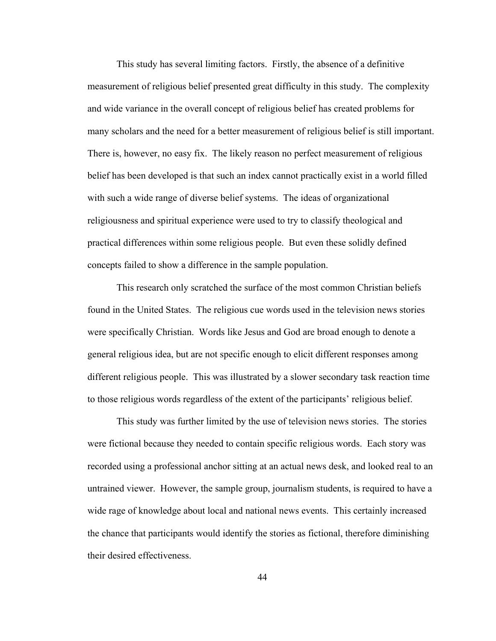This study has several limiting factors. Firstly, the absence of a definitive measurement of religious belief presented great difficulty in this study. The complexity and wide variance in the overall concept of religious belief has created problems for many scholars and the need for a better measurement of religious belief is still important. There is, however, no easy fix. The likely reason no perfect measurement of religious belief has been developed is that such an index cannot practically exist in a world filled with such a wide range of diverse belief systems. The ideas of organizational religiousness and spiritual experience were used to try to classify theological and practical differences within some religious people. But even these solidly defined concepts failed to show a difference in the sample population.

This research only scratched the surface of the most common Christian beliefs found in the United States. The religious cue words used in the television news stories were specifically Christian. Words like Jesus and God are broad enough to denote a general religious idea, but are not specific enough to elicit different responses among different religious people. This was illustrated by a slower secondary task reaction time to those religious words regardless of the extent of the participants' religious belief.

This study was further limited by the use of television news stories. The stories were fictional because they needed to contain specific religious words. Each story was recorded using a professional anchor sitting at an actual news desk, and looked real to an untrained viewer. However, the sample group, journalism students, is required to have a wide rage of knowledge about local and national news events. This certainly increased the chance that participants would identify the stories as fictional, therefore diminishing their desired effectiveness.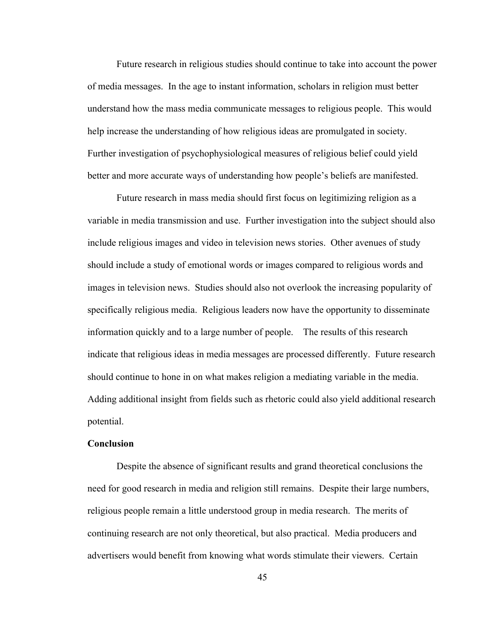Future research in religious studies should continue to take into account the power of media messages. In the age to instant information, scholars in religion must better understand how the mass media communicate messages to religious people. This would help increase the understanding of how religious ideas are promulgated in society. Further investigation of psychophysiological measures of religious belief could yield better and more accurate ways of understanding how people's beliefs are manifested.

Future research in mass media should first focus on legitimizing religion as a variable in media transmission and use. Further investigation into the subject should also include religious images and video in television news stories. Other avenues of study should include a study of emotional words or images compared to religious words and images in television news. Studies should also not overlook the increasing popularity of specifically religious media. Religious leaders now have the opportunity to disseminate information quickly and to a large number of people. The results of this research indicate that religious ideas in media messages are processed differently. Future research should continue to hone in on what makes religion a mediating variable in the media. Adding additional insight from fields such as rhetoric could also yield additional research potential.

#### **Conclusion**

Despite the absence of significant results and grand theoretical conclusions the need for good research in media and religion still remains. Despite their large numbers, religious people remain a little understood group in media research. The merits of continuing research are not only theoretical, but also practical. Media producers and advertisers would benefit from knowing what words stimulate their viewers. Certain

45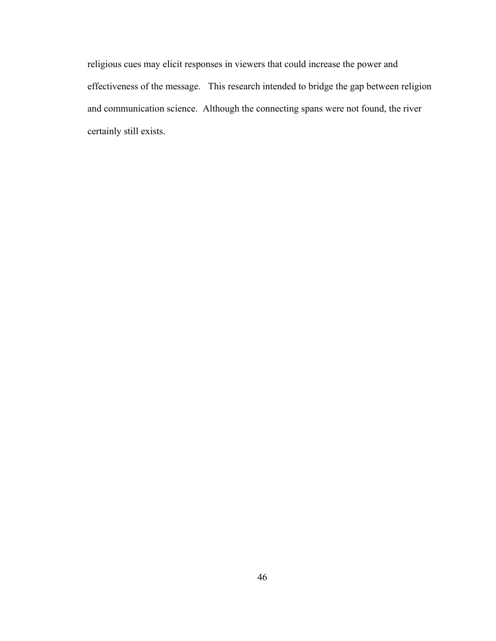religious cues may elicit responses in viewers that could increase the power and effectiveness of the message. This research intended to bridge the gap between religion and communication science. Although the connecting spans were not found, the river certainly still exists.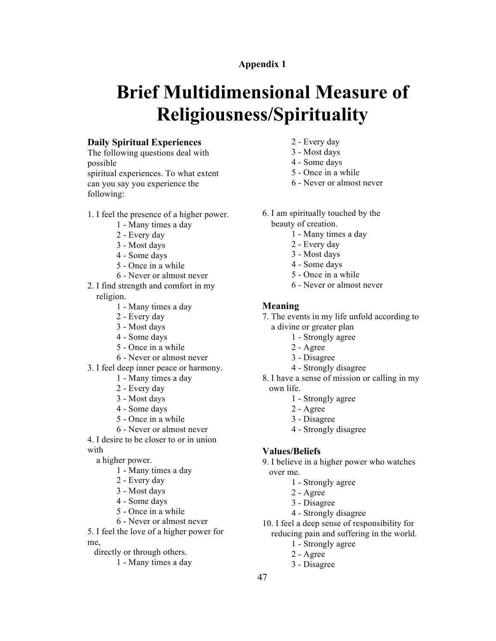# **Brief Multidimensional Measure of Religiousness/Spirituality**

#### **Daily Spiritual Experiences**

The following questions deal with possible spiritual experiences. To what extent can you say you experience the following:

- 1. I feel the presence of a higher power.
	- Many times a day
	- Every day
	- Most days
	- Some days
	- Once in a while
	- Never or almost never
- 2. I find strength and comfort in my religion.
	- Many times a day
	- Every day
	- Most days
	- Some days
	- Once in a while
	- Never or almost never
- 3. I feel deep inner peace or harmony.
	- Many times a day
	- Every day
	- Most days
	- Some days
	- Once in a while
	- Never or almost never
- 4. I desire to be closer to or in union with

a higher power.

- Many times a day
- Every day
- Most days
- Some days
- Once in a while
- Never or almost never

5. I feel the love of a higher power for me,

- directly or through others.
	- Many times a day
- Every day
- Most days
- Some days
- Once in a while
- Never or almost never
- 6. I am spiritually touched by the
	- beauty of creation.
		- Many times a day
		- Every day
		- Most days
		- Some days
		- Once in a while
		- Never or almost never

#### **Meaning**

- 7. The events in my life unfold according to a divine or greater plan
	- Strongly agree
	- Agree
	- Disagree
	- Strongly disagree

8. I have a sense of mission or calling in my own life.

- Strongly agree
- Agree
- Disagree
- Strongly disagree

#### **Values/Beliefs**

- 9. I believe in a higher power who watches over me.
	- Strongly agree
	- Agree
	- Disagree
	- Strongly disagree
- 10. I feel a deep sense of responsibility for reducing pain and suffering in the world.
	- Strongly agree
		- Agree
	- Disagree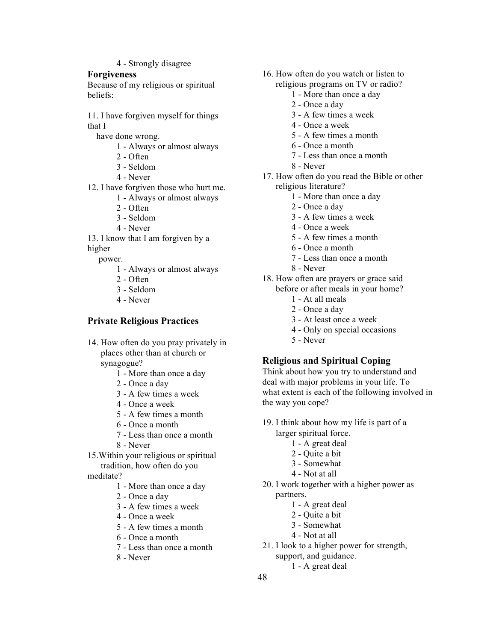- Strongly disagree

#### **Forgiveness**

Because of my religious or spiritual beliefs:

11. I have forgiven myself for things that I

have done wrong.

- Always or almost always
- Often
- Seldom
- Never
- 12. I have forgiven those who hurt me.
	- Always or almost always
	- Often
	- Seldom
	- Never

13. I know that I am forgiven by a higher

power.

- Always or almost always
- Often
- Seldom
- Never

#### **Private Religious Practices**

- 14. How often do you pray privately in places other than at church or synagogue?
	- More than once a day
	- Once a day
	- A few times a week
	- Once a week
	- A few times a month
	- Once a month
	- Less than once a month
	- Never
- 15.Within your religious or spiritual tradition, how often do you

meditate?

- More than once a day
- Once a day
- A few times a week
- Once a week
- A few times a month
- Once a month
- Less than once a month
- Never
- 16. How often do you watch or listen to religious programs on TV or radio?
	- More than once a day
	- Once a day
	- A few times a week
	- Once a week
	- A few times a month
	- Once a month
	- Less than once a month
	- Never
- 17. How often do you read the Bible or other religious literature?
	- More than once a day
	- Once a day
	- A few times a week
	- Once a week
	- A few times a month
	- Once a month
	- Less than once a month
	- Never
- 18. How often are prayers or grace said before or after meals in your home?
	- At all meals
	- Once a day
	- At least once a week
	- Only on special occasions
	- Never

#### **Religious and Spiritual Coping**

Think about how you try to understand and deal with major problems in your life. To what extent is each of the following involved in the way you cope?

- 19. I think about how my life is part of a larger spiritual force.
	- A great deal
	- Quite a bit
	- Somewhat
	- Not at all
- 20. I work together with a higher power as partners.
	- A great deal
	- Quite a bit
	- Somewhat
	- Not at all
- 21. I look to a higher power for strength,
	- support, and guidance.
		- A great deal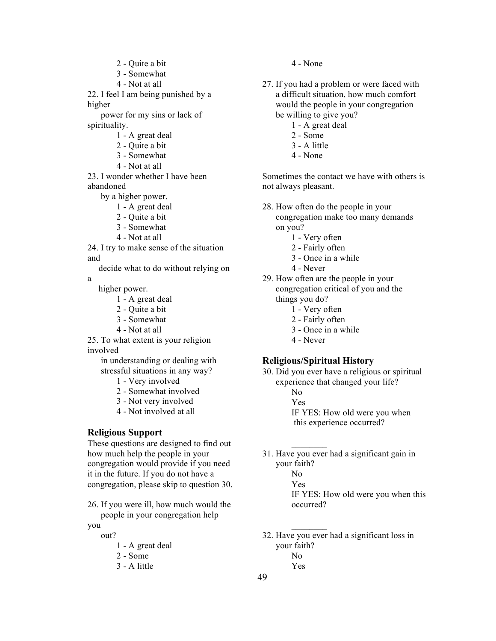2 - Quite a bit 3 - Somewhat 4 - Not at all 22. I feel I am being punished by a higher power for my sins or lack of spirituality. 1 - A great deal 2 - Quite a bit 3 - Somewhat 4 - Not at all 23. I wonder whether I have been abandoned by a higher power. 1 - A great deal 2 - Quite a bit 3 - Somewhat 4 - Not at all 24. I try to make sense of the situation and decide what to do without relying on a higher power. 1 - A great deal 2 - Quite a bit 3 - Somewhat 4 - Not at all 25. To what extent is your religion involved in understanding or dealing with stressful situations in any way? 1 - Very involved 2 - Somewhat involved 3 - Not very involved

4 - Not involved at all

#### **Religious Support**

These questions are designed to find out how much help the people in your congregation would provide if you need it in the future. If you do not have a congregation, please skip to question 30.

26. If you were ill, how much would the people in your congregation help

you

- out? 1 - A great deal
	- 2 Some
	- 3 A little
- 4 None
- 27. If you had a problem or were faced with a difficult situation, how much comfort would the people in your congregation be willing to give you?
	- 1 A great deal
	- 2 Some
	- 3 A little
	- 4 None

Sometimes the contact we have with others is not always pleasant.

- 28. How often do the people in your congregation make too many demands on you?
	- 1 Very often
	- 2 Fairly often
	- 3 Once in a while
	- 4 Never
- 29. How often are the people in your congregation critical of you and the things you do?
	- 1 Very often
	- 2 Fairly often
	- 3 Once in a while
	- 4 Never

#### **Religious/Spiritual History**

30. Did you ever have a religious or spiritual experience that changed your life?

- No
- Yes

 $\mathcal{L}_\text{max}$ 

 $\mathcal{L}_\text{max}$ 

IF YES: How old were you when this experience occurred?

31. Have you ever had a significant gain in your faith? No Yes IF YES: How old were you when this occurred?

32. Have you ever had a significant loss in your faith? No Yes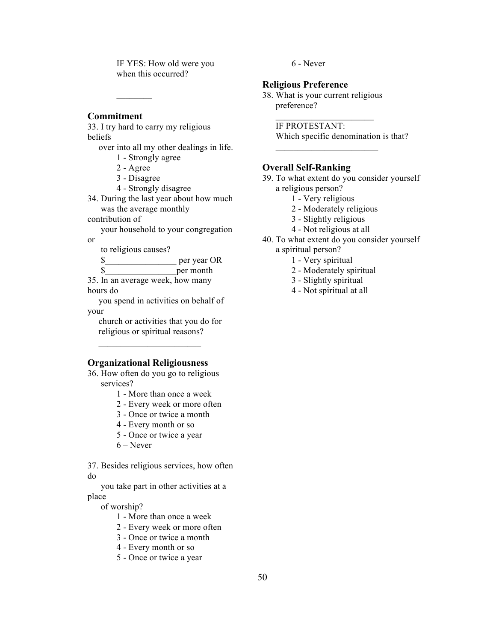IF YES: How old were you when this occurred?

#### **Commitment**

33. I try hard to carry my religious beliefs

over into all my other dealings in life. 1 - Strongly agree

2 - Agree

 $\mathcal{L}_\text{max}$ 

3 - Disagree

- 
- 4 Strongly disagree

34. During the last year about how much was the average monthly

contribution of

your household to your congregation or

to religious causes?

\$\_\_\_\_\_\_\_\_\_\_\_\_\_\_\_\_ per year OR

\$\_\_\_\_\_\_\_\_\_\_\_\_\_\_\_\_per month 35. In an average week, how many hours do

you spend in activities on behalf of your

church or activities that you do for religious or spiritual reasons?

#### **Organizational Religiousness**

 $\mathcal{L}_\text{max}$  and  $\mathcal{L}_\text{max}$  and  $\mathcal{L}_\text{max}$ 

36. How often do you go to religious services?

1 - More than once a week

2 - Every week or more often

3 - Once or twice a month

4 - Every month or so

5 - Once or twice a year

 $6 -$ Never

37. Besides religious services, how often do

you take part in other activities at a place

of worship?

1 - More than once a week

2 - Every week or more often

3 - Once or twice a month

4 - Every month or so

5 - Once or twice a year

6 - Never

#### **Religious Preference**

38. What is your current religious preference?  $\overline{\phantom{a}}$  , where  $\overline{\phantom{a}}$ 

 $\mathcal{L}_\text{max}$  and  $\mathcal{L}_\text{max}$  and  $\mathcal{L}_\text{max}$ 

IF PROTESTANT: Which specific denomination is that?

#### **Overall Self-Ranking**

39. To what extent do you consider yourself a religious person?

- 1 Very religious
- 2 Moderately religious
- 3 Slightly religious
- 4 Not religious at all

40. To what extent do you consider yourself a spiritual person?

- 1 Very spiritual
- 2 Moderately spiritual
- 
- 3 Slightly spiritual
- 4 Not spiritual at all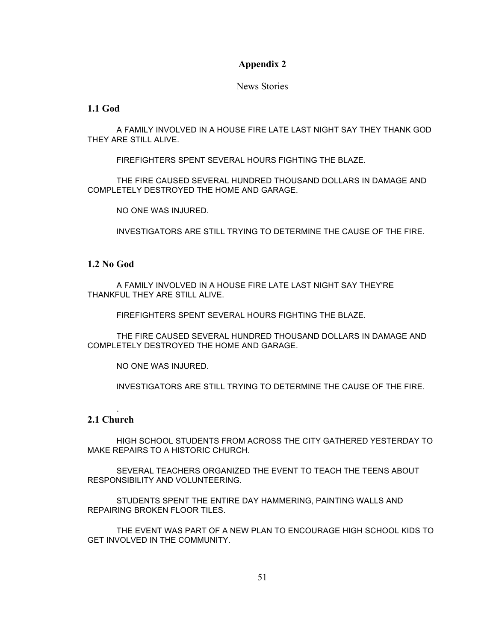News Stories

#### **1.1 God**

A FAMILY INVOLVED IN A HOUSE FIRE LATE LAST NIGHT SAY THEY THANK GOD THEY ARE STILL ALIVE.

FIREFIGHTERS SPENT SEVERAL HOURS FIGHTING THE BLAZE.

THE FIRE CAUSED SEVERAL HUNDRED THOUSAND DOLLARS IN DAMAGE AND COMPLETELY DESTROYED THE HOME AND GARAGE.

NO ONE WAS INJURED.

INVESTIGATORS ARE STILL TRYING TO DETERMINE THE CAUSE OF THE FIRE.

#### **1.2 No God**

A FAMILY INVOLVED IN A HOUSE FIRE LATE LAST NIGHT SAY THEY'RE THANKFUL THEY ARE STILL ALIVE.

FIREFIGHTERS SPENT SEVERAL HOURS FIGHTING THE BLAZE.

THE FIRE CAUSED SEVERAL HUNDRED THOUSAND DOLLARS IN DAMAGE AND COMPLETELY DESTROYED THE HOME AND GARAGE.

NO ONE WAS INJURED.

INVESTIGATORS ARE STILL TRYING TO DETERMINE THE CAUSE OF THE FIRE.

#### **2.1 Church**

.

HIGH SCHOOL STUDENTS FROM ACROSS THE CITY GATHERED YESTERDAY TO MAKE REPAIRS TO A HISTORIC CHURCH.

SEVERAL TEACHERS ORGANIZED THE EVENT TO TEACH THE TEENS ABOUT RESPONSIBILITY AND VOLUNTEERING.

STUDENTS SPENT THE ENTIRE DAY HAMMERING, PAINTING WALLS AND REPAIRING BROKEN FLOOR TILES.

THE EVENT WAS PART OF A NEW PLAN TO ENCOURAGE HIGH SCHOOL KIDS TO GET INVOLVED IN THE COMMUNITY.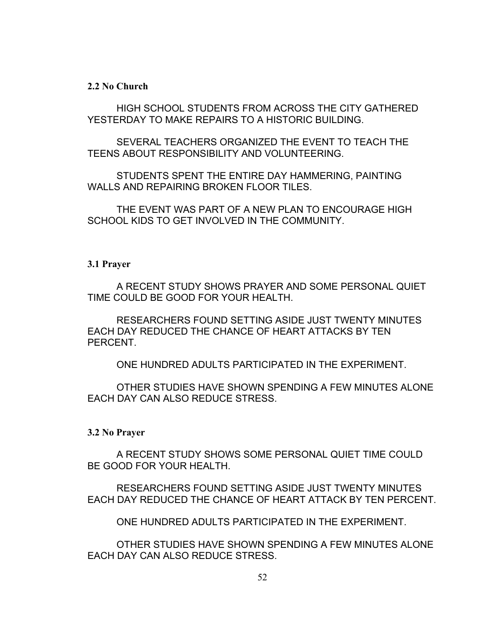#### **2.2 No Church**

HIGH SCHOOL STUDENTS FROM ACROSS THE CITY GATHERED YESTERDAY TO MAKE REPAIRS TO A HISTORIC BUILDING.

SEVERAL TEACHERS ORGANIZED THE EVENT TO TEACH THE TEENS ABOUT RESPONSIBILITY AND VOLUNTEERING.

STUDENTS SPENT THE ENTIRE DAY HAMMERING, PAINTING WALLS AND REPAIRING BROKEN FLOOR TILES.

THE EVENT WAS PART OF A NEW PLAN TO ENCOURAGE HIGH SCHOOL KIDS TO GET INVOLVED IN THE COMMUNITY.

#### **3.1 Prayer**

A RECENT STUDY SHOWS PRAYER AND SOME PERSONAL QUIET TIME COULD BE GOOD FOR YOUR HEALTH.

RESEARCHERS FOUND SETTING ASIDE JUST TWENTY MINUTES EACH DAY REDUCED THE CHANCE OF HEART ATTACKS BY TEN PERCENT.

ONE HUNDRED ADULTS PARTICIPATED IN THE EXPERIMENT.

OTHER STUDIES HAVE SHOWN SPENDING A FEW MINUTES ALONE EACH DAY CAN ALSO REDUCE STRESS.

#### **3.2 No Prayer**

A RECENT STUDY SHOWS SOME PERSONAL QUIET TIME COULD BE GOOD FOR YOUR HEALTH.

RESEARCHERS FOUND SETTING ASIDE JUST TWENTY MINUTES EACH DAY REDUCED THE CHANCE OF HEART ATTACK BY TEN PERCENT.

ONE HUNDRED ADULTS PARTICIPATED IN THE EXPERIMENT.

OTHER STUDIES HAVE SHOWN SPENDING A FEW MINUTES ALONE EACH DAY CAN ALSO REDUCE STRESS.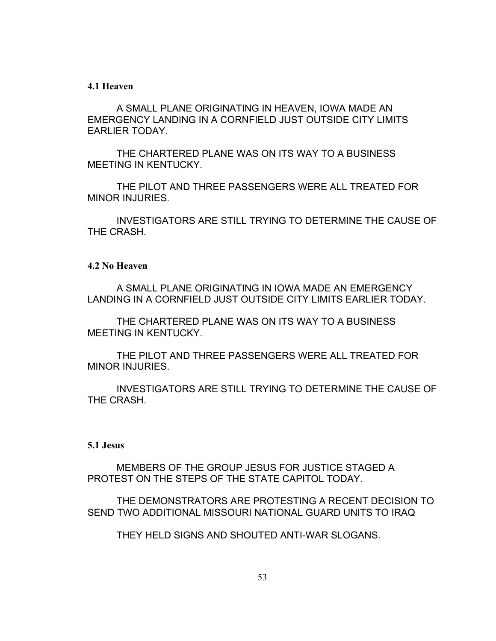#### **4.1 Heaven**

A SMALL PLANE ORIGINATING IN HEAVEN, IOWA MADE AN EMERGENCY LANDING IN A CORNFIELD JUST OUTSIDE CITY LIMITS EARLIER TODAY.

THE CHARTERED PLANE WAS ON ITS WAY TO A BUSINESS MEETING IN KENTUCKY.

THE PILOT AND THREE PASSENGERS WERE ALL TREATED FOR MINOR INJURIES.

INVESTIGATORS ARE STILL TRYING TO DETERMINE THE CAUSE OF THE CRASH.

#### **4.2 No Heaven**

A SMALL PLANE ORIGINATING IN IOWA MADE AN EMERGENCY LANDING IN A CORNFIELD JUST OUTSIDE CITY LIMITS EARLIER TODAY.

THE CHARTERED PLANE WAS ON ITS WAY TO A BUSINESS MEETING IN KENTUCKY.

THE PILOT AND THREE PASSENGERS WERE ALL TREATED FOR MINOR INJURIES.

INVESTIGATORS ARE STILL TRYING TO DETERMINE THE CAUSE OF THE CRASH.

#### **5.1 Jesus**

MEMBERS OF THE GROUP JESUS FOR JUSTICE STAGED A PROTEST ON THE STEPS OF THE STATE CAPITOL TODAY.

THE DEMONSTRATORS ARE PROTESTING A RECENT DECISION TO SEND TWO ADDITIONAL MISSOURI NATIONAL GUARD UNITS TO IRAQ

THEY HELD SIGNS AND SHOUTED ANTI-WAR SLOGANS.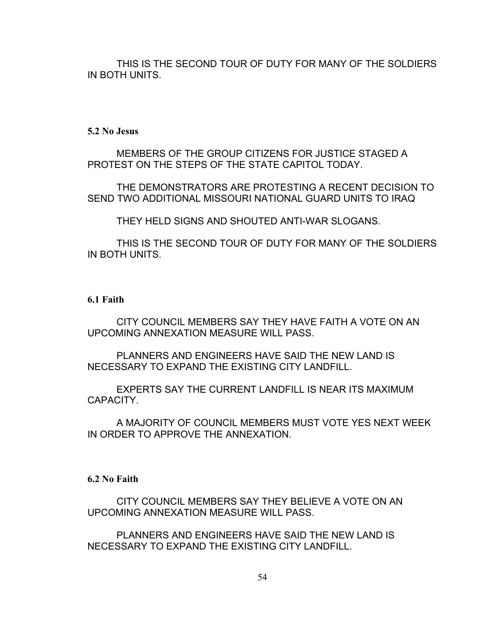THIS IS THE SECOND TOUR OF DUTY FOR MANY OF THE SOLDIERS IN BOTH UNITS.

#### **5.2 No Jesus**

MEMBERS OF THE GROUP CITIZENS FOR JUSTICE STAGED A PROTEST ON THE STEPS OF THE STATE CAPITOL TODAY.

THE DEMONSTRATORS ARE PROTESTING A RECENT DECISION TO SEND TWO ADDITIONAL MISSOURI NATIONAL GUARD UNITS TO IRAQ

THEY HELD SIGNS AND SHOUTED ANTI-WAR SLOGANS.

THIS IS THE SECOND TOUR OF DUTY FOR MANY OF THE SOLDIERS IN BOTH UNITS.

#### **6.1 Faith**

CITY COUNCIL MEMBERS SAY THEY HAVE FAITH A VOTE ON AN UPCOMING ANNEXATION MEASURE WILL PASS.

PLANNERS AND ENGINEERS HAVE SAID THE NEW LAND IS NECESSARY TO EXPAND THE EXISTING CITY LANDFILL.

EXPERTS SAY THE CURRENT LANDFILL IS NEAR ITS MAXIMUM CAPACITY.

A MAJORITY OF COUNCIL MEMBERS MUST VOTE YES NEXT WEEK IN ORDER TO APPROVE THE ANNEXATION.

#### **6.2 No Faith**

CITY COUNCIL MEMBERS SAY THEY BELIEVE A VOTE ON AN UPCOMING ANNEXATION MEASURE WILL PASS.

PLANNERS AND ENGINEERS HAVE SAID THE NEW LAND IS NECESSARY TO EXPAND THE EXISTING CITY LANDFILL.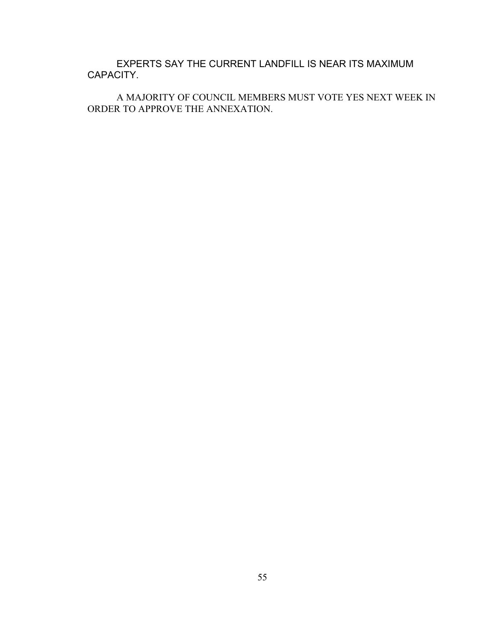EXPERTS SAY THE CURRENT LANDFILL IS NEAR ITS MAXIMUM CAPACITY.

A MAJORITY OF COUNCIL MEMBERS MUST VOTE YES NEXT WEEK IN ORDER TO APPROVE THE ANNEXATION.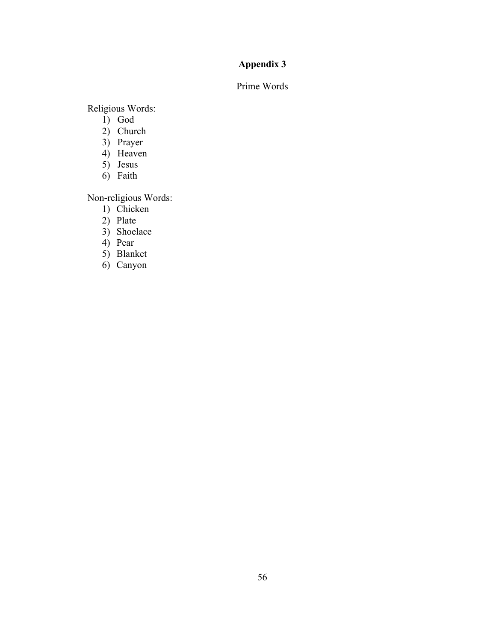### Prime Words

Religious Words:

- 1) God
- 2) Church
- 3) Prayer
- 4) Heaven
- 5) Jesus
- 6) Faith

Non-religious Words:

- 1) Chicken
- 2) Plate
- 3) Shoelace
- 4) Pear
- 5) Blanket
- 6) Canyon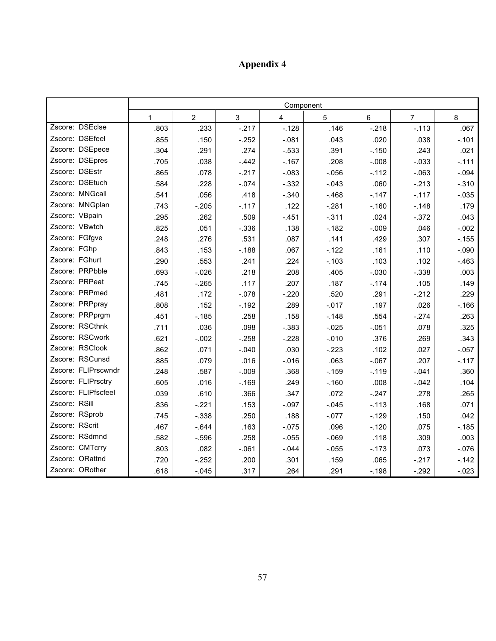|                     | Component |                |         |         |          |         |                |          |
|---------------------|-----------|----------------|---------|---------|----------|---------|----------------|----------|
|                     | 1         | $\overline{2}$ | 3       | 4       | 5        | 6       | $\overline{7}$ | 8        |
| Zscore: DSEclse     | .803      | .233           | $-217$  | $-.128$ | .146     | $-.218$ | $-.113$        | .067     |
| Zscore: DSEfeel     | .855      | .150           | $-.252$ | $-.081$ | .043     | .020    | .038           | $-.101$  |
| Zscore: DSEpece     | .304      | .291           | .274    | $-.533$ | .391     | $-.150$ | .243           | .021     |
| Zscore: DSEpres     | .705      | .038           | $-.442$ | $-.167$ | .208     | $-.008$ | $-.033$        | $-.111$  |
| Zscore: DSEstr      | .865      | .078           | $-.217$ | $-.083$ | $-.056$  | $-.112$ | $-063$         | $-.094$  |
| Zscore: DSEtuch     | .584      | .228           | $-0.74$ | $-.332$ | $-.043$  | .060    | $-.213$        | $-.310$  |
| Zscore: MNGcall     | .541      | .056           | .418    | $-.340$ | $-468$   | $-.147$ | $-.117$        | $-0.035$ |
| Zscore: MNGplan     | .743      | $-.205$        | $-.117$ | .122    | $-.281$  | $-.160$ | $-.148$        | .179     |
| Zscore: VBpain      | .295      | .262           | .509    | $-.451$ | $-.311$  | .024    | $-.372$        | .043     |
| Zscore: VBwtch      | .825      | .051           | $-.336$ | .138    | $-.182$  | $-.009$ | .046           | $-.002$  |
| Zscore: FGfgve      | .248      | .276           | .531    | .087    | .141     | .429    | .307           | $-155$   |
| Zscore: FGhp        | .843      | .153           | $-.188$ | .067    | $-.122$  | .161    | .110           | $-.090$  |
| Zscore: FGhurt      | .290      | .553           | .241    | .224    | $-.103$  | .103    | .102           | $-463$   |
| Zscore: PRPbble     | .693      | $-0.026$       | .218    | .208    | .405     | $-.030$ | $-.338$        | .003     |
| Zscore: PRPeat      | .745      | $-265$         | .117    | .207    | .187     | $-.174$ | .105           | .149     |
| Zscore: PRPmed      | .481      | .172           | $-.078$ | $-.220$ | .520     | .291    | $-212$         | .229     |
| Zscore: PRPpray     | .808      | .152           | $-.192$ | .289    | $-.017$  | .197    | .026           | $-.166$  |
| Zscore: PRPprgm     | .451      | $-.185$        | .258    | .158    | $-.148$  | .554    | $-.274$        | .263     |
| Zscore: RSCthnk     | .711      | .036           | .098    | $-.383$ | $-.025$  | $-.051$ | .078           | .325     |
| Zscore: RSCwork     | .621      | $-.002$        | $-.258$ | $-.228$ | $-.010$  | .376    | .269           | .343     |
| Zscore: RSClook     | .862      | .071           | $-.040$ | .030    | $-.223$  | .102    | .027           | $-.057$  |
| Zscore: RSCunsd     | .885      | .079           | .016    | $-0.16$ | .063     | $-.067$ | .207           | $-.117$  |
| Zscore: FLIPrscwndr | .248      | .587           | $-.009$ | .368    | $-0.159$ | $-.119$ | $-.041$        | .360     |
| Zscore: FLIPrsctry  | .605      | .016           | $-.169$ | .249    | $-.160$  | .008    | $-.042$        | .104     |
| Zscore: FLIPfscfeel | .039      | .610           | .366    | .347    | .072     | $-.247$ | .278           | .265     |
| Zscore: RSill       | .836      | $-.221$        | .153    | $-.097$ | $-.045$  | $-.113$ | .168           | .071     |
| Zscore: RSprob      | .745      | $-.338$        | .250    | .188    | $-.077$  | $-.129$ | .150           | .042     |
| Zscore: RScrit      | .467      | $-644$         | .163    | $-.075$ | .096     | $-.120$ | .075           | $-.185$  |
| Zscore: RSdmnd      | .582      | $-.596$        | .258    | $-.055$ | $-.069$  | .118    | .309           | .003     |
| Zscore: CMTcrry     | .803      | .082           | $-061$  | $-.044$ | $-.055$  | $-.173$ | .073           | $-0.076$ |
| Zscore: ORattnd     | .720      | $-252$         | .200    | .301    | .159     | .065    | $-.217$        | $-.142$  |
| Zscore: ORother     | .618      | $-.045$        | .317    | .264    | .291     | $-.198$ | $-.292$        | $-.023$  |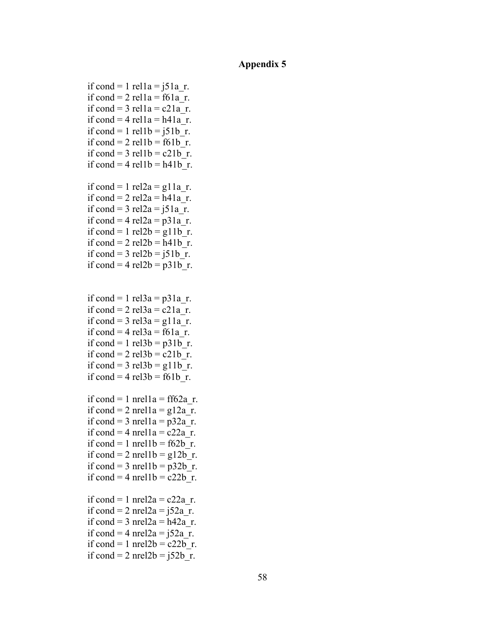if cond = 1 rel $1a = j51a$  r. if cond = 2 rel $1a = 161a$  r. if cond =  $3$  rel $1a = c21a$  r. if cond = 4 rel $1a = h41a$  r. if cond = 1 rel1b =  $i51b$  r. if cond = 2 rel $1b = f61b$  r. if cond = 3 rel1b =  $c21b$  r. if cond = 4 rel1b = h41b r. if cond = 1 rel2a = g11a r. if cond =  $2$  rel $2a = h41a$  r. if cond = 3 rel2a =  $i51a$  r. if cond = 4 rel2a =  $p31a$  r. if cond = 1 rel2b = g11b r. if cond = 2 rel2b = h41b r. if cond = 3 rel2b =  $i51b$  r. if cond = 4 rel2b =  $p31b$  r. if cond = 1 rel3a =  $p31a$  r. if cond = 2 rel3a = c21a r. if cond = 3 rel3a = g11a r. if cond = 4 rel3a = f61a r. if cond = 1 rel3b =  $p31b$  r. if cond =  $2$  rel $3b = c21b$  r. if cond = 3 rel3b =  $g11b$  r. if cond = 4 rel3b = f61b r. if cond = 1 nrel1a = ff62a r. if cond = 2 nrel  $1a = g12a$  r. if cond = 3 nrel  $1a = p32a$  r. if cond = 4 nrel  $1a = c22a$  r. if cond = 1 nrel1b =  $f62b$  r. if cond = 2 nrel1b =  $g12b$  r. if cond = 3 nrel1b =  $p32b$  r. if cond = 4 nrel1b =  $c22b$  r. if cond = 1 nrel $2a = c22a$  r. if cond = 2 nrel2a =  $i52a$  r. if cond = 3 nrel $2a = h42a$  r. if cond = 4 nrel2a =  $i52a$  r. if cond = 1 nrel $2b = c22b$  r. if cond = 2 nrel2b =  $i52b$  r.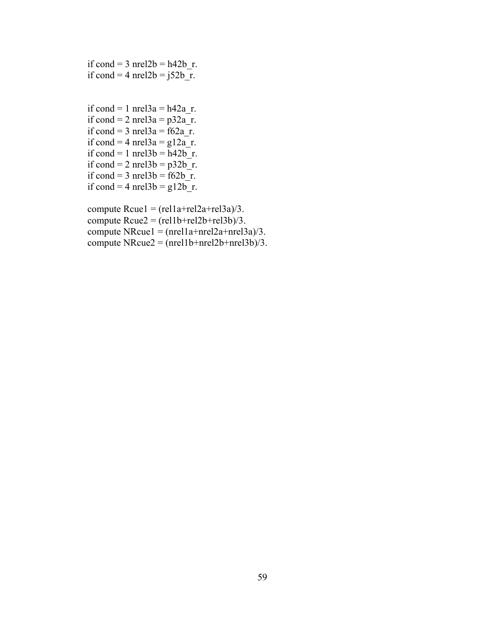if cond = 3 nrel $2b = h42b$  r. if cond = 4 nrel $2b = j52b$ \_r.

```
if cond = 1 nrel3a = h42a r.
if cond = 2 nrel3a = p32a r.
if cond = 3 nrel3a = 62a r.
if cond = 4 nrel3a = g12ar.
if cond = 1 nrel3b = h42b<sup>r</sup>.
if cond = 2 nrel3b = p32b<sup>r</sup>.
if cond = 3 nrel3b = 62b r.
if cond = 4 nrel3b = g12b<sup>-</sup>r.
```

```
compute Recuel = (relu1a + rel2a + rel3a)/3.
compute Rcue2 = (rel1b + rel2b + rel3b)/3.
compute NRcue1 = (nrel1a + nrel2a + nrel3a)/3.
compute NRcue2 = (nrel1b + nrel2b + nrel3b)/3.
```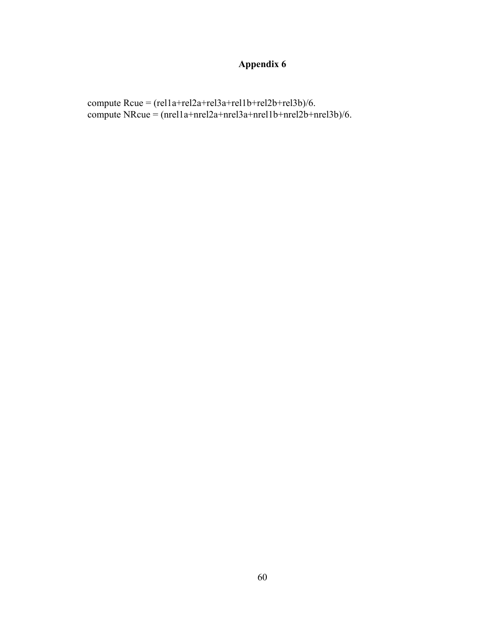compute Rcue = (rel1a+rel2a+rel3a+rel1b+rel2b+rel3b)/6. compute NRcue = (nrel1a+nrel2a+nrel3a+nrel1b+nrel2b+nrel3b)/6.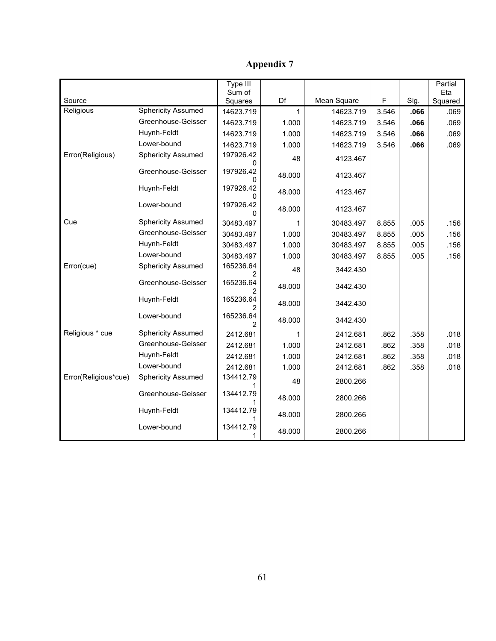| <b>Appendix 7</b> |  |
|-------------------|--|
|-------------------|--|

|                      |                           | Type III<br>Sum of |        |             |              |      | Partial<br>Eta |
|----------------------|---------------------------|--------------------|--------|-------------|--------------|------|----------------|
| Source               |                           | Squares            | Df     | Mean Square | $\mathsf{F}$ | Sig. | Squared        |
| Religious            | <b>Sphericity Assumed</b> | 14623.719          | 1      | 14623.719   | 3.546        | .066 | .069           |
|                      | Greenhouse-Geisser        | 14623.719          | 1.000  | 14623.719   | 3.546        | .066 | .069           |
|                      | Huynh-Feldt               | 14623.719          | 1.000  | 14623.719   | 3.546        | .066 | .069           |
|                      | Lower-bound               | 14623.719          | 1.000  | 14623.719   | 3.546        | .066 | .069           |
| Error(Religious)     | <b>Sphericity Assumed</b> | 197926.42<br>0     | 48     | 4123.467    |              |      |                |
|                      | Greenhouse-Geisser        | 197926.42          | 48.000 | 4123.467    |              |      |                |
|                      | Huynh-Feldt               | 197926.42          | 48.000 | 4123.467    |              |      |                |
|                      | Lower-bound               | 197926.42<br>0     | 48.000 | 4123.467    |              |      |                |
| Cue                  | <b>Sphericity Assumed</b> | 30483.497          | 1      | 30483.497   | 8.855        | .005 | .156           |
|                      | Greenhouse-Geisser        | 30483.497          | 1.000  | 30483.497   | 8.855        | .005 | .156           |
|                      | Huynh-Feldt               | 30483.497          | 1.000  | 30483.497   | 8.855        | .005 | .156           |
|                      | Lower-bound               | 30483.497          | 1.000  | 30483.497   | 8.855        | .005 | .156           |
| Error(cue)           | <b>Sphericity Assumed</b> | 165236.64          | 48     | 3442.430    |              |      |                |
|                      | Greenhouse-Geisser        | 165236.64          | 48.000 | 3442.430    |              |      |                |
|                      | Huynh-Feldt               | 165236.64          | 48.000 | 3442.430    |              |      |                |
|                      | Lower-bound               | 165236.64          | 48.000 | 3442.430    |              |      |                |
| Religious * cue      | <b>Sphericity Assumed</b> | 2412.681           | 1      | 2412.681    | .862         | .358 | .018           |
|                      | Greenhouse-Geisser        | 2412.681           | 1.000  | 2412.681    | .862         | .358 | .018           |
|                      | Huynh-Feldt               | 2412.681           | 1.000  | 2412.681    | .862         | .358 | .018           |
|                      | Lower-bound               | 2412.681           | 1.000  | 2412.681    | .862         | .358 | .018           |
| Error(Religious*cue) | <b>Sphericity Assumed</b> | 134412.79          | 48     | 2800.266    |              |      |                |
|                      | Greenhouse-Geisser        | 134412.79          | 48.000 | 2800.266    |              |      |                |
|                      | Huynh-Feldt               | 134412.79          | 48.000 | 2800.266    |              |      |                |
|                      | Lower-bound               | 134412.79          | 48.000 | 2800.266    |              |      |                |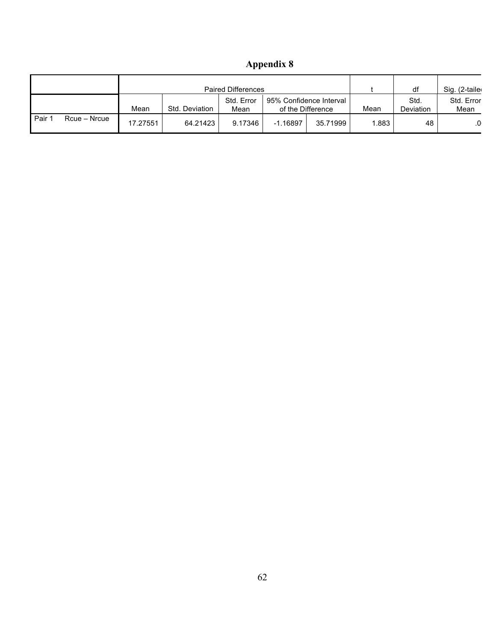|      |              | <b>Paired Differences</b> |                |                    |          |                                              |      | df                       | Sig. (2-taile      |
|------|--------------|---------------------------|----------------|--------------------|----------|----------------------------------------------|------|--------------------------|--------------------|
|      |              | Mean                      | Std. Deviation | Std. Error<br>Mean |          | 95% Confidence Interval<br>of the Difference | Mean | Std.<br><b>Deviation</b> | Std. Error<br>Mean |
| Pair | Rcue – Nrcue | 17.27551                  | 64.21423       | 9.17346            | -1.16897 | 35.71999                                     | .883 | 48                       |                    |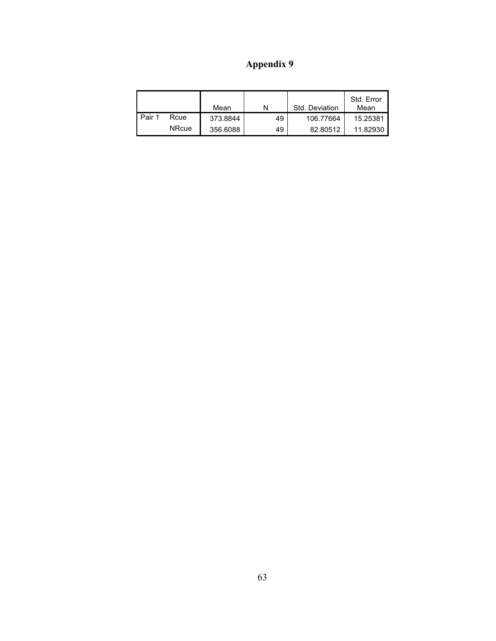|        |              | Mean     | N  | Std. Deviation | Std. Error<br>Mean |
|--------|--------------|----------|----|----------------|--------------------|
| Pair 1 | Rcue         | 373.8844 | 49 | 106.77664      | 15.25381           |
|        | <b>NRcue</b> | 356.6088 | 49 | 82.80512       | 11.82930           |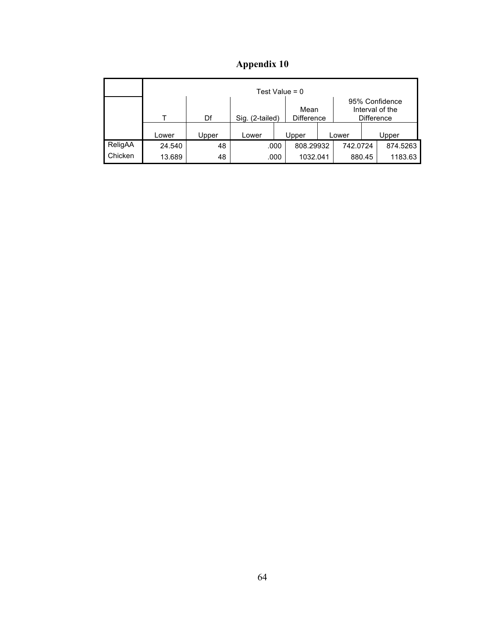| <b>Appendix 10</b> |  |  |
|--------------------|--|--|

|         | Test Value = $0$ |       |                 |                           |           |                                                        |          |        |          |  |
|---------|------------------|-------|-----------------|---------------------------|-----------|--------------------------------------------------------|----------|--------|----------|--|
|         | т                | Df    | Sig. (2-tailed) | Mean<br><b>Difference</b> |           | 95% Confidence<br>Interval of the<br><b>Difference</b> |          |        |          |  |
|         | Lower            | Upper | Lower           |                           | Upper     |                                                        | Lower    |        | Upper    |  |
| ReligAA | 24.540           | 48    |                 | .000                      | 808.29932 |                                                        | 742.0724 |        | 874.5263 |  |
| Chicken | 13.689           | 48    |                 | .000                      | 1032.041  |                                                        |          | 880.45 | 1183.63  |  |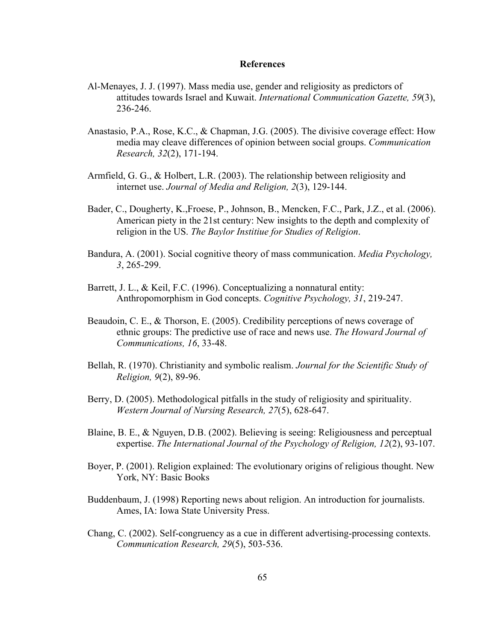## **References**

- Al-Menayes, J. J. (1997). Mass media use, gender and religiosity as predictors of attitudes towards Israel and Kuwait. *International Communication Gazette, 59*(3), 236-246.
- Anastasio, P.A., Rose, K.C., & Chapman, J.G. (2005). The divisive coverage effect: How media may cleave differences of opinion between social groups. *Communication Research, 32*(2), 171-194.
- Armfield, G. G., & Holbert, L.R. (2003). The relationship between religiosity and internet use. *Journal of Media and Religion, 2*(3), 129-144.
- Bader, C., Dougherty, K.,Froese, P., Johnson, B., Mencken, F.C., Park, J.Z., et al. (2006). American piety in the 21st century: New insights to the depth and complexity of religion in the US. *The Baylor Institiue for Studies of Religion*.
- Bandura, A. (2001). Social cognitive theory of mass communication. *Media Psychology, 3*, 265-299.
- Barrett, J. L., & Keil, F.C. (1996). Conceptualizing a nonnatural entity: Anthropomorphism in God concepts. *Cognitive Psychology, 31*, 219-247.
- Beaudoin, C. E., & Thorson, E. (2005). Credibility perceptions of news coverage of ethnic groups: The predictive use of race and news use. *The Howard Journal of Communications, 16*, 33-48.
- Bellah, R. (1970). Christianity and symbolic realism. *Journal for the Scientific Study of Religion, 9*(2), 89-96.
- Berry, D. (2005). Methodological pitfalls in the study of religiosity and spirituality. *Western Journal of Nursing Research, 27*(5), 628-647.
- Blaine, B. E., & Nguyen, D.B. (2002). Believing is seeing: Religiousness and perceptual expertise. *The International Journal of the Psychology of Religion, 12*(2), 93-107.
- Boyer, P. (2001). Religion explained: The evolutionary origins of religious thought. New York, NY: Basic Books
- Buddenbaum, J. (1998) Reporting news about religion. An introduction for journalists. Ames, IA: Iowa State University Press.
- Chang, C. (2002). Self-congruency as a cue in different advertising-processing contexts. *Communication Research, 29*(5), 503-536.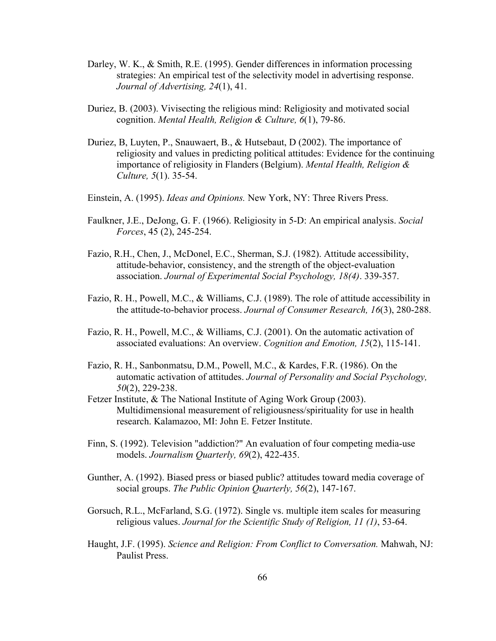- Darley, W. K., & Smith, R.E. (1995). Gender differences in information processing strategies: An empirical test of the selectivity model in advertising response. *Journal of Advertising, 24*(1), 41.
- Duriez, B. (2003). Vivisecting the religious mind: Religiosity and motivated social cognition. *Mental Health, Religion & Culture, 6*(1), 79-86.
- Duriez, B, Luyten, P., Snauwaert, B., & Hutsebaut, D (2002). The importance of religiosity and values in predicting political attitudes: Evidence for the continuing importance of religiosity in Flanders (Belgium). *Mental Health, Religion & Culture, 5*(1). 35-54.
- Einstein, A. (1995). *Ideas and Opinions.* New York, NY: Three Rivers Press.
- Faulkner, J.E., DeJong, G. F. (1966). Religiosity in 5-D: An empirical analysis. *Social Forces*, 45 (2), 245-254.
- Fazio, R.H., Chen, J., McDonel, E.C., Sherman, S.J. (1982). Attitude accessibility, attitude-behavior, consistency, and the strength of the object-evaluation association. *Journal of Experimental Social Psychology, 18(4)*. 339-357.
- Fazio, R. H., Powell, M.C., & Williams, C.J. (1989). The role of attitude accessibility in the attitude-to-behavior process. *Journal of Consumer Research, 16*(3), 280-288.
- Fazio, R. H., Powell, M.C., & Williams, C.J. (2001). On the automatic activation of associated evaluations: An overview. *Cognition and Emotion, 15*(2), 115-141.
- Fazio, R. H., Sanbonmatsu, D.M., Powell, M.C., & Kardes, F.R. (1986). On the automatic activation of attitudes. *Journal of Personality and Social Psychology, 50*(2), 229-238.
- Fetzer Institute, & The National Institute of Aging Work Group (2003). Multidimensional measurement of religiousness/spirituality for use in health research. Kalamazoo, MI: John E. Fetzer Institute.
- Finn, S. (1992). Television "addiction?" An evaluation of four competing media-use models. *Journalism Quarterly, 69*(2), 422-435.
- Gunther, A. (1992). Biased press or biased public? attitudes toward media coverage of social groups. *The Public Opinion Quarterly, 56*(2), 147-167.
- Gorsuch, R.L., McFarland, S.G. (1972). Single vs. multiple item scales for measuring religious values. *Journal for the Scientific Study of Religion, 11 (1)*, 53-64.
- Haught, J.F. (1995). *Science and Religion: From Conflict to Conversation.* Mahwah, NJ: Paulist Press.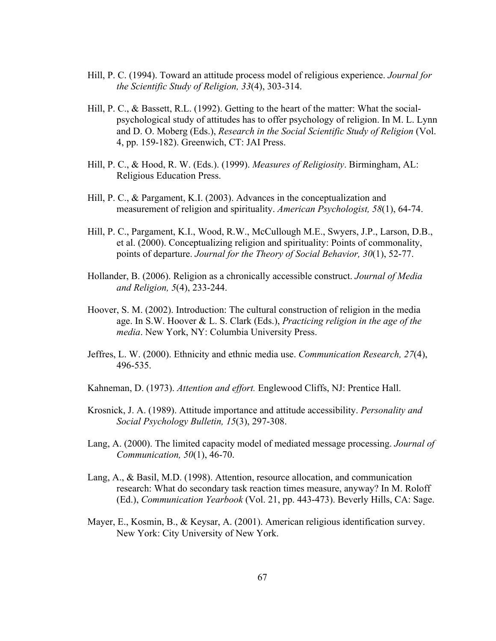- Hill, P. C. (1994). Toward an attitude process model of religious experience. *Journal for the Scientific Study of Religion, 33*(4), 303-314.
- Hill, P. C., & Bassett, R.L. (1992). Getting to the heart of the matter: What the socialpsychological study of attitudes has to offer psychology of religion. In M. L. Lynn and D. O. Moberg (Eds.), *Research in the Social Scientific Study of Religion* (Vol. 4, pp. 159-182). Greenwich, CT: JAI Press.
- Hill, P. C., & Hood, R. W. (Eds.). (1999). *Measures of Religiosity*. Birmingham, AL: Religious Education Press.
- Hill, P. C., & Pargament, K.I. (2003). Advances in the conceptualization and measurement of religion and spirituality. *American Psychologist, 58*(1), 64-74.
- Hill, P. C., Pargament, K.I., Wood, R.W., McCullough M.E., Swyers, J.P., Larson, D.B., et al. (2000). Conceptualizing religion and spirituality: Points of commonality, points of departure. *Journal for the Theory of Social Behavior, 30*(1), 52-77.
- Hollander, B. (2006). Religion as a chronically accessible construct. *Journal of Media and Religion, 5*(4), 233-244.
- Hoover, S. M. (2002). Introduction: The cultural construction of religion in the media age. In S.W. Hoover & L. S. Clark (Eds.), *Practicing religion in the age of the media*. New York, NY: Columbia University Press.
- Jeffres, L. W. (2000). Ethnicity and ethnic media use. *Communication Research, 27*(4), 496-535.
- Kahneman, D. (1973). *Attention and effort.* Englewood Cliffs, NJ: Prentice Hall.
- Krosnick, J. A. (1989). Attitude importance and attitude accessibility. *Personality and Social Psychology Bulletin, 15*(3), 297-308.
- Lang, A. (2000). The limited capacity model of mediated message processing. *Journal of Communication, 50*(1), 46-70.
- Lang, A., & Basil, M.D. (1998). Attention, resource allocation, and communication research: What do secondary task reaction times measure, anyway? In M. Roloff (Ed.), *Communication Yearbook* (Vol. 21, pp. 443-473). Beverly Hills, CA: Sage.
- Mayer, E., Kosmin, B., & Keysar, A. (2001). American religious identification survey. New York: City University of New York.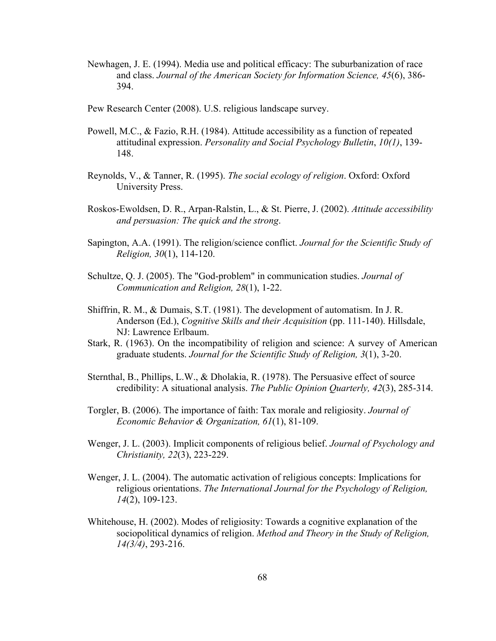- Newhagen, J. E. (1994). Media use and political efficacy: The suburbanization of race and class. *Journal of the American Society for Information Science, 45*(6), 386- 394.
- Pew Research Center (2008). U.S. religious landscape survey.
- Powell, M.C., & Fazio, R.H. (1984). Attitude accessibility as a function of repeated attitudinal expression. *Personality and Social Psychology Bulletin*, *10(1)*, 139- 148.
- Reynolds, V., & Tanner, R. (1995). *The social ecology of religion*. Oxford: Oxford University Press.
- Roskos-Ewoldsen, D. R., Arpan-Ralstin, L., & St. Pierre, J. (2002). *Attitude accessibility and persuasion: The quick and the strong*.
- Sapington, A.A. (1991). The religion/science conflict. *Journal for the Scientific Study of Religion, 30*(1), 114-120.
- Schultze, Q. J. (2005). The "God-problem" in communication studies. *Journal of Communication and Religion, 28*(1), 1-22.
- Shiffrin, R. M., & Dumais, S.T. (1981). The development of automatism. In J. R. Anderson (Ed.), *Cognitive Skills and their Acquisition* (pp. 111-140). Hillsdale, NJ: Lawrence Erlbaum.
- Stark, R. (1963). On the incompatibility of religion and science: A survey of American graduate students. *Journal for the Scientific Study of Religion, 3*(1), 3-20.
- Sternthal, B., Phillips, L.W., & Dholakia, R. (1978). The Persuasive effect of source credibility: A situational analysis. *The Public Opinion Quarterly, 42*(3), 285-314.
- Torgler, B. (2006). The importance of faith: Tax morale and religiosity. *Journal of Economic Behavior & Organization, 61*(1), 81-109.
- Wenger, J. L. (2003). Implicit components of religious belief. *Journal of Psychology and Christianity, 22*(3), 223-229.
- Wenger, J. L. (2004). The automatic activation of religious concepts: Implications for religious orientations. *The International Journal for the Psychology of Religion, 14*(2), 109-123.
- Whitehouse, H. (2002). Modes of religiosity: Towards a cognitive explanation of the sociopolitical dynamics of religion. *Method and Theory in the Study of Religion, 14(3/4)*, 293-216.